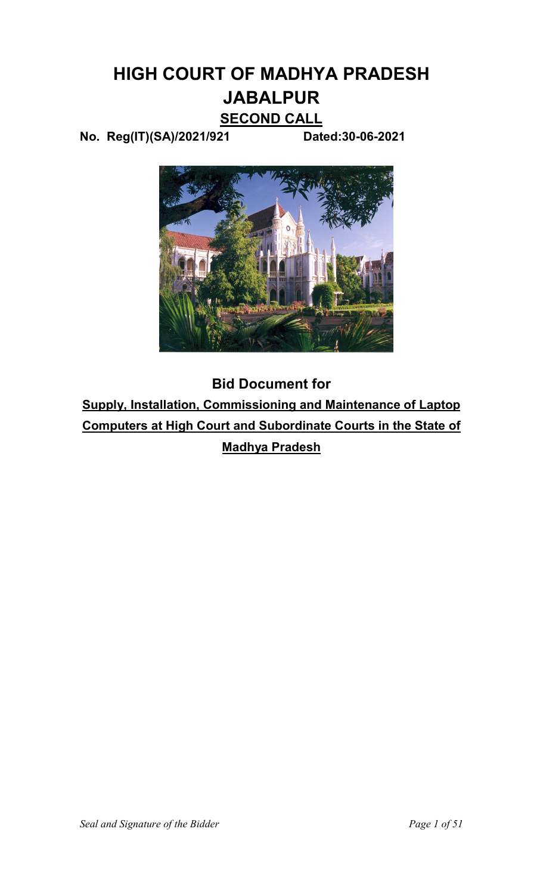# **HIGH COURT OF MADHYA PRADESH JABALPUR**

# **SECOND CALL**

**No. Reg(IT)(SA)/2021/921 Dated:30-06-2021** 



**Bid Document for Supply, Installation, Commissioning and Maintenance of Laptop Computers at High Court and Subordinate Courts in the State of Madhya Pradesh**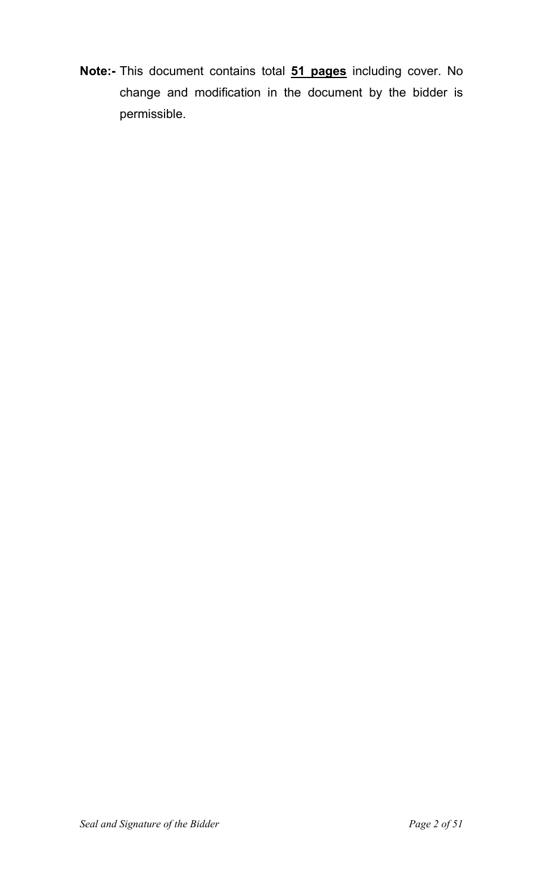**Note:-** This document contains total **51 pages** including cover. No change and modification in the document by the bidder is permissible.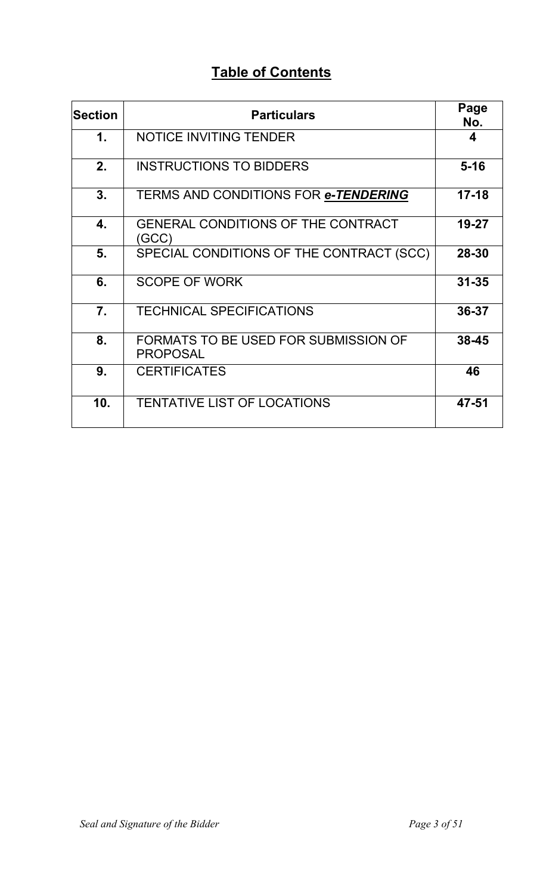# **Table of Contents**

| <b>Section</b>   | <b>Particulars</b>                                      | Page<br>No. |
|------------------|---------------------------------------------------------|-------------|
| $\mathbf 1$ .    | <b>NOTICE INVITING TENDER</b>                           | 4           |
| 2.               | <b>INSTRUCTIONS TO BIDDERS</b>                          | $5 - 16$    |
| 3.               | TERMS AND CONDITIONS FOR e-TENDERING                    | $17 - 18$   |
| 4.               | <b>GENERAL CONDITIONS OF THE CONTRACT</b><br>(GCC)      | 19-27       |
| 5.               | SPECIAL CONDITIONS OF THE CONTRACT (SCC)                | 28-30       |
| 6.               | <b>SCOPE OF WORK</b>                                    | $31 - 35$   |
| $\overline{7}$ . | <b>TECHNICAL SPECIFICATIONS</b>                         | 36-37       |
| 8.               | FORMATS TO BE USED FOR SUBMISSION OF<br><b>PROPOSAL</b> | 38-45       |
| 9.               | <b>CERTIFICATES</b>                                     | 46          |
| 10.              | <b>TENTATIVE LIST OF LOCATIONS</b>                      | 47-51       |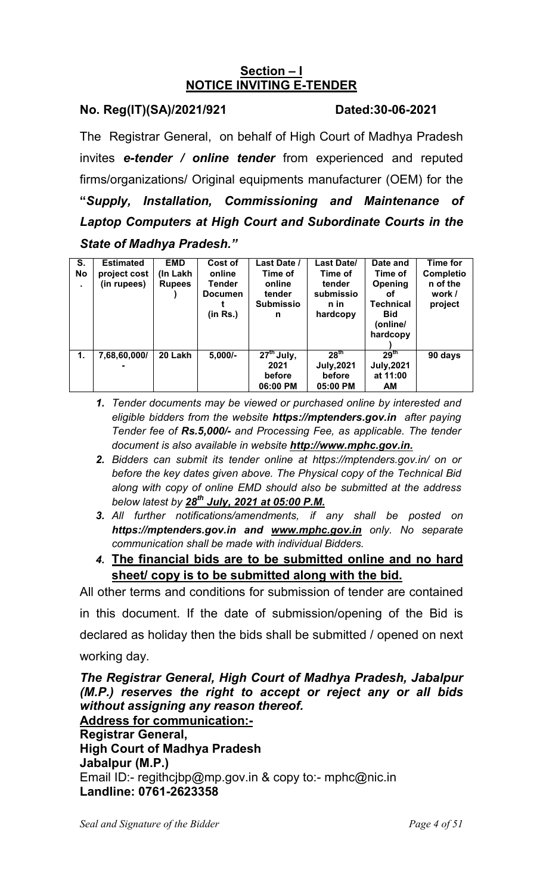#### **Section – I NOTICE INVITING E-TENDER**

#### **No. Reg(IT)(SA)/2021/921 Dated:30-06-2021**

The Registrar General, on behalf of High Court of Madhya Pradesh invites *e-tender / online tender* from experienced and reputed firms/organizations/ Original equipments manufacturer (OEM) for the **"***Supply, Installation, Commissioning and Maintenance of Laptop Computers at High Court and Subordinate Courts in the State of Madhya Pradesh."*

| S.<br><b>No</b><br>٠ | <b>Estimated</b><br>project cost<br>(in rupees) | <b>EMD</b><br>(In Lakh<br><b>Rupees</b> | Cost of<br>online<br><b>Tender</b><br><b>Documen</b><br>(in Rs.) | <b>Last Date /</b><br>Time of<br>online<br>tender<br><b>Submissio</b><br>n | Last Date/<br>Time of<br>tender<br>submissio<br>n in<br>hardcopy | Date and<br>Time of<br>Opening<br>οf<br><b>Technical</b><br><b>Bid</b><br>(online/<br>hardcopy | <b>Time for</b><br><b>Completio</b><br>n of the<br>work /<br>project |
|----------------------|-------------------------------------------------|-----------------------------------------|------------------------------------------------------------------|----------------------------------------------------------------------------|------------------------------------------------------------------|------------------------------------------------------------------------------------------------|----------------------------------------------------------------------|
| 1.                   | 7,68,60,000/                                    | 20 Lakh                                 | $5,000/-$                                                        | $27th$ July,<br>2021<br>before<br>06:00 PM                                 | 28 <sup>th</sup><br><b>July, 2021</b><br>before<br>05:00 PM      | 29 <sup>th</sup><br><b>July, 2021</b><br>at 11:00<br>AM                                        | 90 days                                                              |

- *1. Tender documents may be viewed or purchased online by interested and eligible bidders from the website https://mptenders.gov.in after paying Tender fee of Rs.5,000/- and Processing Fee, as applicable. The tender document is also available in website http://www.mphc.gov.in.*
- *2. Bidders can submit its tender online at https://mptenders.gov.in/ on or before the key dates given above. The Physical copy of the Technical Bid along with copy of online EMD should also be submitted at the address below latest by 28th July, 2021 at 05:00 P.M.*
- *3. All further notifications/amendments, if any shall be posted on https://mptenders.gov.in and www.mphc.gov.in only. No separate communication shall be made with individual Bidders.*
- *4.* **The financial bids are to be submitted online and no hard sheet/ copy is to be submitted along with the bid.**

All other terms and conditions for submission of tender are contained in this document. If the date of submission/opening of the Bid is declared as holiday then the bids shall be submitted / opened on next working day.

*The Registrar General, High Court of Madhya Pradesh, Jabalpur (M.P.) reserves the right to accept or reject any or all bids without assigning any reason thereof.*  **Address for communication:- Registrar General, High Court of Madhya Pradesh Jabalpur (M.P.)**  Email ID:- regithcjbp@mp.gov.in & copy to:- mphc@nic.in **Landline: 0761-2623358**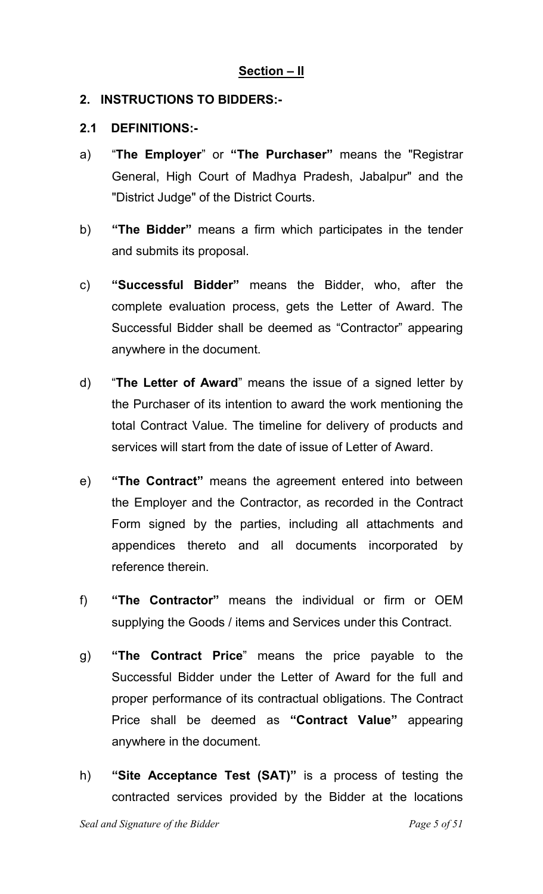#### **Section – II**

#### **2. INSTRUCTIONS TO BIDDERS:-**

#### **2.1 DEFINITIONS:-**

- a) "**The Employer**" or **"The Purchaser"** means the "Registrar General, High Court of Madhya Pradesh, Jabalpur" and the "District Judge" of the District Courts.
- b) **"The Bidder"** means a firm which participates in the tender and submits its proposal.
- c) **"Successful Bidder"** means the Bidder, who, after the complete evaluation process, gets the Letter of Award. The Successful Bidder shall be deemed as "Contractor" appearing anywhere in the document.
- d) "**The Letter of Award**" means the issue of a signed letter by the Purchaser of its intention to award the work mentioning the total Contract Value. The timeline for delivery of products and services will start from the date of issue of Letter of Award.
- e) **"The Contract"** means the agreement entered into between the Employer and the Contractor, as recorded in the Contract Form signed by the parties, including all attachments and appendices thereto and all documents incorporated by reference therein.
- f) **"The Contractor"** means the individual or firm or OEM supplying the Goods / items and Services under this Contract.
- g) **"The Contract Price**" means the price payable to the Successful Bidder under the Letter of Award for the full and proper performance of its contractual obligations. The Contract Price shall be deemed as **"Contract Value"** appearing anywhere in the document.
- h) **"Site Acceptance Test (SAT)"** is a process of testing the contracted services provided by the Bidder at the locations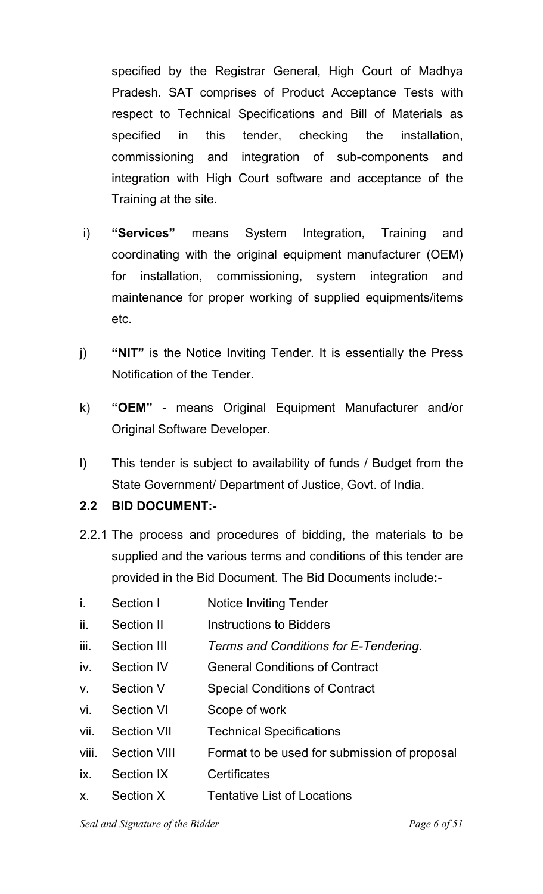specified by the Registrar General, High Court of Madhya Pradesh. SAT comprises of Product Acceptance Tests with respect to Technical Specifications and Bill of Materials as specified in this tender, checking the installation, commissioning and integration of sub-components and integration with High Court software and acceptance of the Training at the site.

- i) **"Services"** means System Integration, Training and coordinating with the original equipment manufacturer (OEM) for installation, commissioning, system integration and maintenance for proper working of supplied equipments/items etc.
- j) **"NIT"** is the Notice Inviting Tender. It is essentially the Press Notification of the Tender.
- k) **"OEM"**  means Original Equipment Manufacturer and/or Original Software Developer.
- l) This tender is subject to availability of funds / Budget from the State Government/ Department of Justice, Govt. of India.

#### **2.2 BID DOCUMENT:-**

- 2.2.1 The process and procedures of bidding, the materials to be supplied and the various terms and conditions of this tender are provided in the Bid Document. The Bid Documents include**:-**
- i. Section I Notice Inviting Tender
- ii. Section II Instructions to Bidders
- iii. Section III *Terms and Conditions for E-Tendering*.
- iv. Section IV General Conditions of Contract
- v. Section V Special Conditions of Contract
- vi. Section VI Scope of work
- vii. Section VII Technical Specifications
- viii. Section VIII Format to be used for submission of proposal
- ix. Section IX Certificates
- x. Section X Tentative List of Locations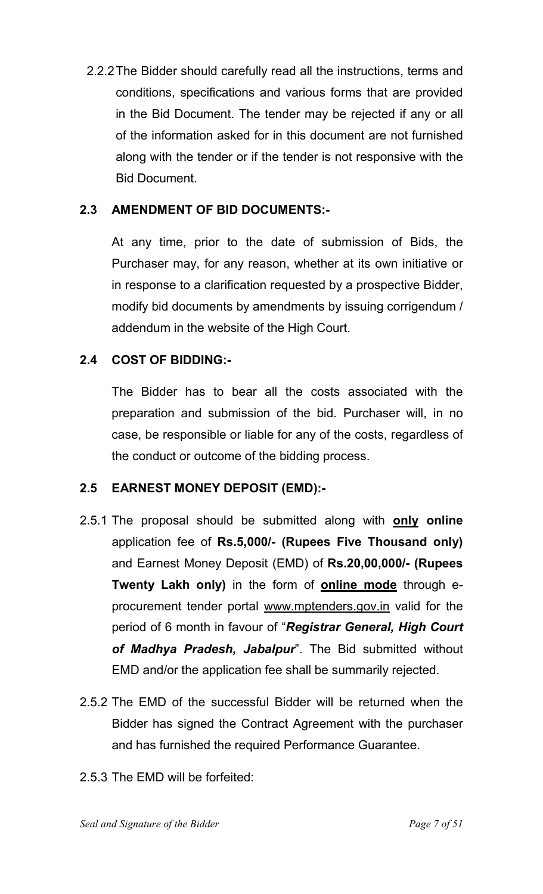2.2.2 The Bidder should carefully read all the instructions, terms and conditions, specifications and various forms that are provided in the Bid Document. The tender may be rejected if any or all of the information asked for in this document are not furnished along with the tender or if the tender is not responsive with the Bid Document.

#### **2.3 AMENDMENT OF BID DOCUMENTS:-**

 At any time, prior to the date of submission of Bids, the Purchaser may, for any reason, whether at its own initiative or in response to a clarification requested by a prospective Bidder, modify bid documents by amendments by issuing corrigendum / addendum in the website of the High Court.

#### **2.4 COST OF BIDDING:-**

The Bidder has to bear all the costs associated with the preparation and submission of the bid. Purchaser will, in no case, be responsible or liable for any of the costs, regardless of the conduct or outcome of the bidding process.

#### **2.5 EARNEST MONEY DEPOSIT (EMD):-**

- 2.5.1 The proposal should be submitted along with **only online** application fee of **Rs.5,000/- (Rupees Five Thousand only)**  and Earnest Money Deposit (EMD) of **Rs.20,00,000/- (Rupees Twenty Lakh only)** in the form of **online mode** through eprocurement tender portal www.mptenders.gov.in valid for the period of 6 month in favour of "*Registrar General, High Court of Madhya Pradesh, Jabalpur*". The Bid submitted without EMD and/or the application fee shall be summarily rejected.
- 2.5.2 The EMD of the successful Bidder will be returned when the Bidder has signed the Contract Agreement with the purchaser and has furnished the required Performance Guarantee.
- 2.5.3 The EMD will be forfeited: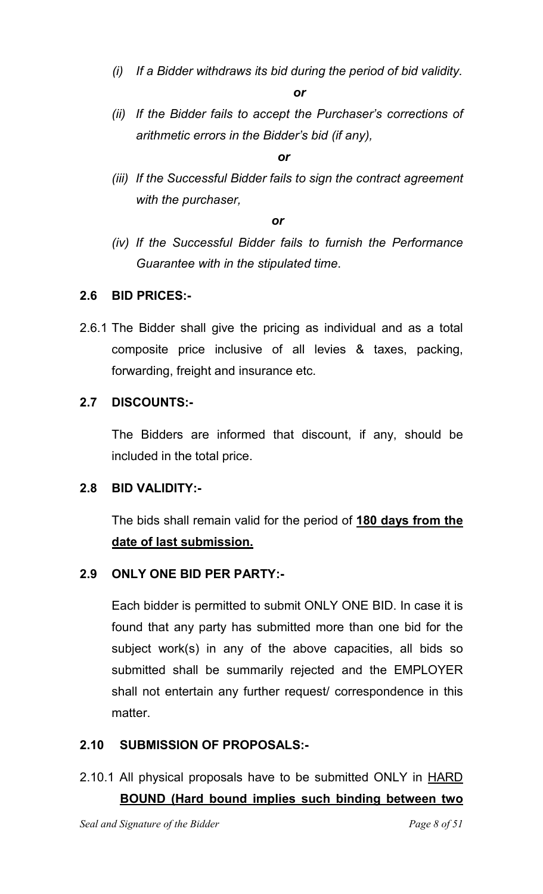*(i) If a Bidder withdraws its bid during the period of bid validity.* 

*or*

*(ii) If the Bidder fails to accept the Purchaser's corrections of arithmetic errors in the Bidder's bid (if any),* 

*<u>oral oriental</u>* 

*(iii) If the Successful Bidder fails to sign the contract agreement with the purchaser,* 

*<u>discussions</u>* 

*(iv) If the Successful Bidder fails to furnish the Performance Guarantee with in the stipulated time*.

#### **2.6 BID PRICES:-**

2.6.1 The Bidder shall give the pricing as individual and as a total composite price inclusive of all levies & taxes, packing, forwarding, freight and insurance etc.

#### **2.7 DISCOUNTS:-**

 The Bidders are informed that discount, if any, should be included in the total price.

#### **2.8 BID VALIDITY:-**

 The bids shall remain valid for the period of **180 days from the date of last submission.**

### **2.9 ONLY ONE BID PER PARTY:-**

 Each bidder is permitted to submit ONLY ONE BID. In case it is found that any party has submitted more than one bid for the subject work(s) in any of the above capacities, all bids so submitted shall be summarily rejected and the EMPLOYER shall not entertain any further request/ correspondence in this matter.

### **2.10 SUBMISSION OF PROPOSALS:-**

2.10.1 All physical proposals have to be submitted ONLY in HARD **BOUND (Hard bound implies such binding between two**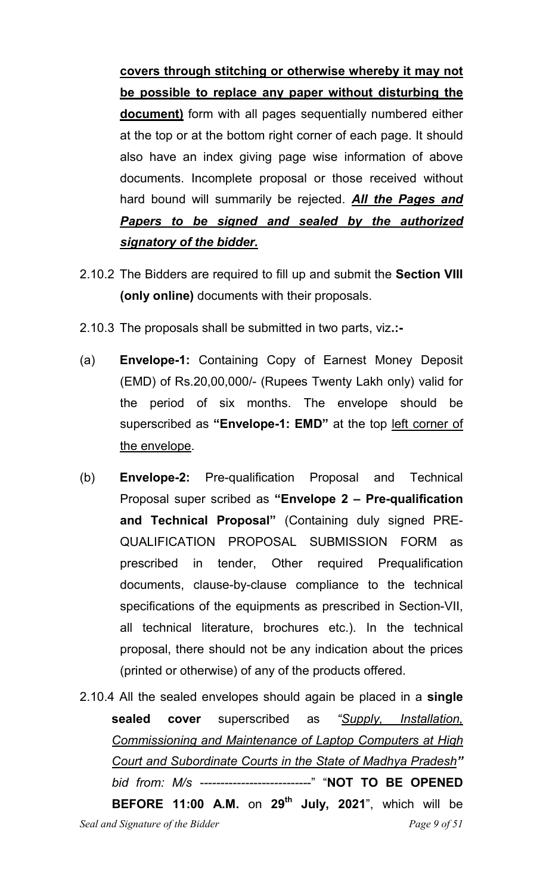**covers through stitching or otherwise whereby it may not be possible to replace any paper without disturbing the document)** form with all pages sequentially numbered either at the top or at the bottom right corner of each page. It should also have an index giving page wise information of above documents. Incomplete proposal or those received without hard bound will summarily be rejected. *All the Pages and Papers to be signed and sealed by the authorized signatory of the bidder.*

- 2.10.2 The Bidders are required to fill up and submit the **Section VIII (only online)** documents with their proposals.
- 2.10.3 The proposals shall be submitted in two parts, viz**.:-**
- (a) **Envelope-1:** Containing Copy of Earnest Money Deposit (EMD) of Rs.20,00,000/- (Rupees Twenty Lakh only) valid for the period of six months. The envelope should be superscribed as **"Envelope-1: EMD"** at the top left corner of the envelope.
- (b) **Envelope-2:** Pre-qualification Proposal and Technical Proposal super scribed as **"Envelope 2 – Pre-qualification and Technical Proposal"** (Containing duly signed PRE-QUALIFICATION PROPOSAL SUBMISSION FORM as prescribed in tender, Other required Prequalification documents, clause-by-clause compliance to the technical specifications of the equipments as prescribed in Section-VII, all technical literature, brochures etc.). In the technical proposal, there should not be any indication about the prices (printed or otherwise) of any of the products offered.
- *Seal and Signature of the Bidder Page 9 of 51* 2.10.4 All the sealed envelopes should again be placed in a **single sealed cover** superscribed as *"Supply, Installation, Commissioning and Maintenance of Laptop Computers at High Court and Subordinate Courts in the State of Madhya Pradesh" bid from: M/s --------------------------*-" "**NOT TO BE OPENED BEFORE 11:00 A.M.** on **29th July, 2021**", which will be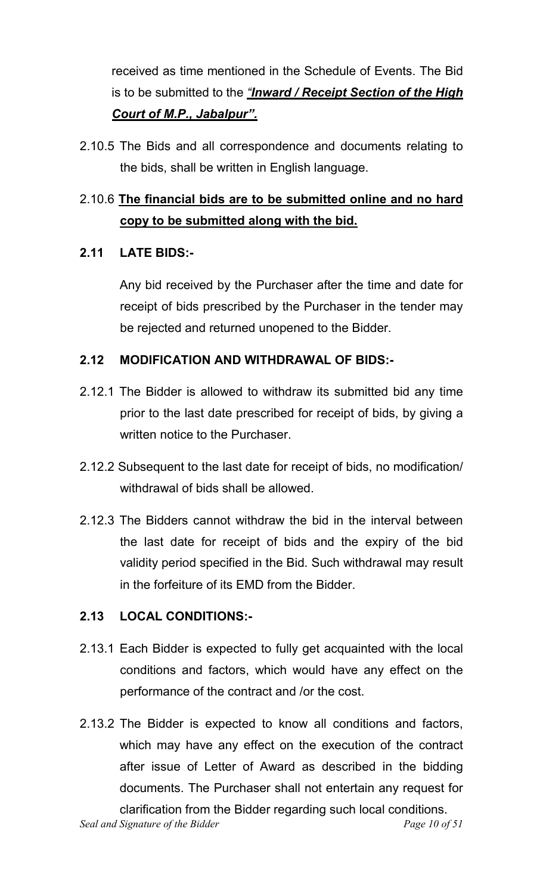received as time mentioned in the Schedule of Events. The Bid is to be submitted to the *"Inward / Receipt Section of the High Court of M.P., Jabalpur".*

2.10.5 The Bids and all correspondence and documents relating to the bids, shall be written in English language.

# 2.10.6 **The financial bids are to be submitted online and no hard copy to be submitted along with the bid.**

#### **2.11 LATE BIDS:-**

 Any bid received by the Purchaser after the time and date for receipt of bids prescribed by the Purchaser in the tender may be rejected and returned unopened to the Bidder.

#### **2.12 MODIFICATION AND WITHDRAWAL OF BIDS:-**

- 2.12.1 The Bidder is allowed to withdraw its submitted bid any time prior to the last date prescribed for receipt of bids, by giving a written notice to the Purchaser.
- 2.12.2 Subsequent to the last date for receipt of bids, no modification/ withdrawal of bids shall be allowed.
- 2.12.3 The Bidders cannot withdraw the bid in the interval between the last date for receipt of bids and the expiry of the bid validity period specified in the Bid. Such withdrawal may result in the forfeiture of its EMD from the Bidder.

#### **2.13 LOCAL CONDITIONS:-**

- 2.13.1 Each Bidder is expected to fully get acquainted with the local conditions and factors, which would have any effect on the performance of the contract and /or the cost.
- 2.13.2 The Bidder is expected to know all conditions and factors, which may have any effect on the execution of the contract after issue of Letter of Award as described in the bidding documents. The Purchaser shall not entertain any request for clarification from the Bidder regarding such local conditions.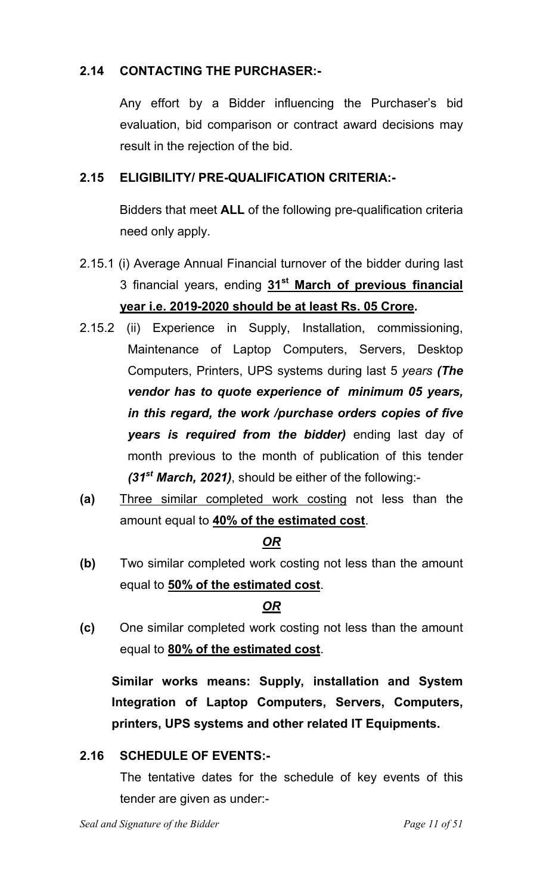#### **2.14 CONTACTING THE PURCHASER:-**

 Any effort by a Bidder influencing the Purchaser's bid evaluation, bid comparison or contract award decisions may result in the rejection of the bid.

#### **2.15 ELIGIBILITY/ PRE-QUALIFICATION CRITERIA:-**

 Bidders that meet **ALL** of the following pre-qualification criteria need only apply.

- 2.15.1 (i) Average Annual Financial turnover of the bidder during last 3 financial years, ending **31st March of previous financial year i.e. 2019-2020 should be at least Rs. 05 Crore.**
- 2.15.2 (ii) Experience in Supply, Installation, commissioning, Maintenance of Laptop Computers, Servers, Desktop Computers, Printers, UPS systems during last 5 *years (The vendor has to quote experience of minimum 05 years, in this regard, the work /purchase orders copies of five years is required from the bidder)* ending last day of month previous to the month of publication of this tender *(31st March, 2021)*, should be either of the following:-
- **(a)** Three similar completed work costing not less than the amount equal to **40% of the estimated cost**.

#### *OR*

**(b)** Two similar completed work costing not less than the amount equal to **50% of the estimated cost**.

### *OR*

**(c)** One similar completed work costing not less than the amount equal to **80% of the estimated cost**.

**Similar works means: Supply, installation and System Integration of Laptop Computers, Servers, Computers, printers, UPS systems and other related IT Equipments.** 

#### **2.16 SCHEDULE OF EVENTS:-**

The tentative dates for the schedule of key events of this tender are given as under:-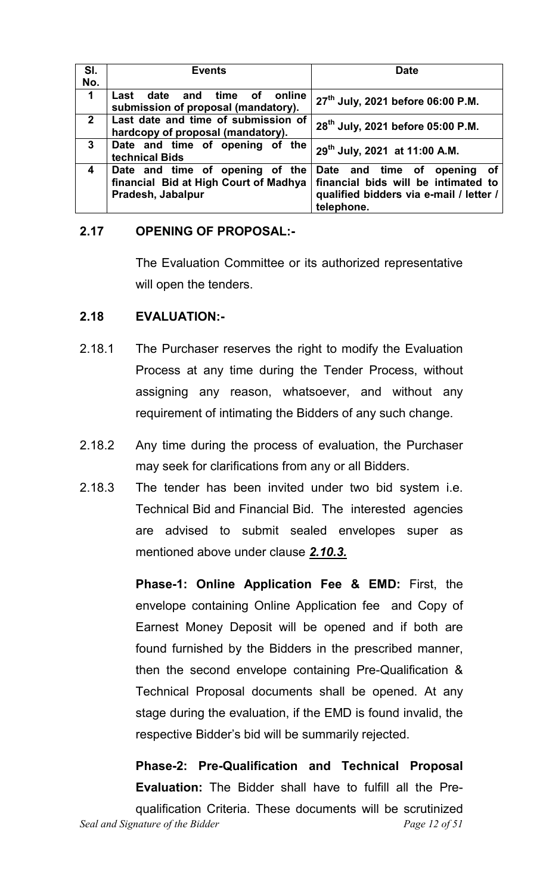| SI.<br>No.              | <b>Events</b>                                                                                 | <b>Date</b>                                                                                                                       |  |
|-------------------------|-----------------------------------------------------------------------------------------------|-----------------------------------------------------------------------------------------------------------------------------------|--|
| 1                       | time<br>of online<br>date and<br>Last<br>submission of proposal (mandatory).                  | 27 <sup>th</sup> July, 2021 before 06:00 P.M.                                                                                     |  |
| $2^{\circ}$             | Last date and time of submission of<br>hardcopy of proposal (mandatory).                      | 28 <sup>th</sup> July, 2021 before 05:00 P.M.                                                                                     |  |
| $\mathbf{3}$            | Date and time of opening of the<br>technical Bids                                             | 29 <sup>th</sup> July, 2021 at 11:00 A.M.                                                                                         |  |
| $\overline{\mathbf{4}}$ | Date and time of opening of the<br>financial Bid at High Court of Madhya<br>Pradesh, Jabalpur | Date and time of<br>opening<br>of<br>financial bids will be intimated to<br>qualified bidders via e-mail / letter /<br>telephone. |  |

#### **2.17 OPENING OF PROPOSAL:-**

 The Evaluation Committee or its authorized representative will open the tenders.

#### **2.18 EVALUATION:-**

- 2.18.1 The Purchaser reserves the right to modify the Evaluation Process at any time during the Tender Process, without assigning any reason, whatsoever, and without any requirement of intimating the Bidders of any such change.
- 2.18.2 Any time during the process of evaluation, the Purchaser may seek for clarifications from any or all Bidders.
- 2.18.3 The tender has been invited under two bid system i.e. Technical Bid and Financial Bid. The interested agencies are advised to submit sealed envelopes super as mentioned above under clause *2.10.3.*

**Phase-1: Online Application Fee & EMD:** First, the envelope containing Online Application fee and Copy of Earnest Money Deposit will be opened and if both are found furnished by the Bidders in the prescribed manner, then the second envelope containing Pre-Qualification & Technical Proposal documents shall be opened. At any stage during the evaluation, if the EMD is found invalid, the respective Bidder's bid will be summarily rejected.

*Seal and Signature of the Bidder* extended the *Page 12 of 51*  **Phase-2: Pre-Qualification and Technical Proposal Evaluation:** The Bidder shall have to fulfill all the Prequalification Criteria. These documents will be scrutinized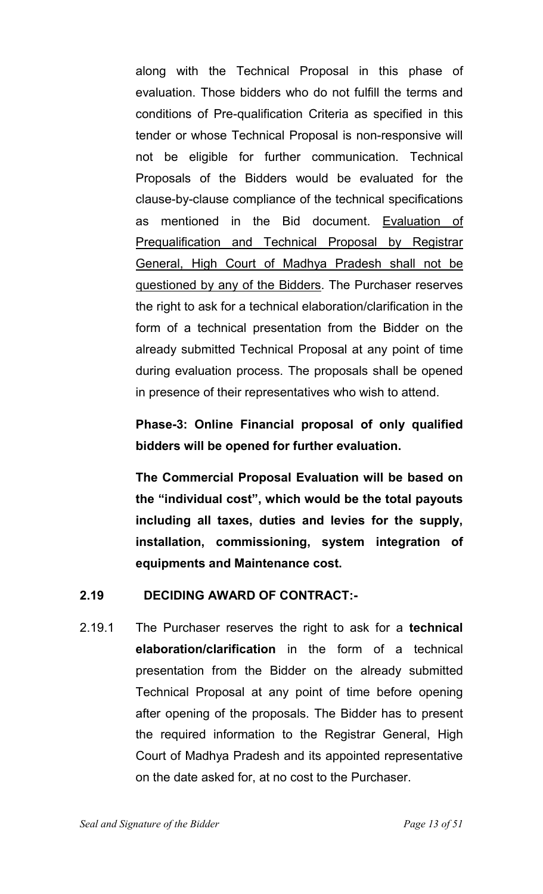along with the Technical Proposal in this phase of evaluation. Those bidders who do not fulfill the terms and conditions of Pre-qualification Criteria as specified in this tender or whose Technical Proposal is non-responsive will not be eligible for further communication. Technical Proposals of the Bidders would be evaluated for the clause-by-clause compliance of the technical specifications as mentioned in the Bid document. Evaluation of Prequalification and Technical Proposal by Registrar General, High Court of Madhya Pradesh shall not be questioned by any of the Bidders. The Purchaser reserves the right to ask for a technical elaboration/clarification in the form of a technical presentation from the Bidder on the already submitted Technical Proposal at any point of time during evaluation process. The proposals shall be opened in presence of their representatives who wish to attend.

# **Phase-3: Online Financial proposal of only qualified bidders will be opened for further evaluation.**

**The Commercial Proposal Evaluation will be based on the "individual cost", which would be the total payouts including all taxes, duties and levies for the supply, installation, commissioning, system integration of equipments and Maintenance cost.** 

#### **2.19 DECIDING AWARD OF CONTRACT:-**

2.19.1 The Purchaser reserves the right to ask for a **technical elaboration/clarification** in the form of a technical presentation from the Bidder on the already submitted Technical Proposal at any point of time before opening after opening of the proposals. The Bidder has to present the required information to the Registrar General, High Court of Madhya Pradesh and its appointed representative on the date asked for, at no cost to the Purchaser.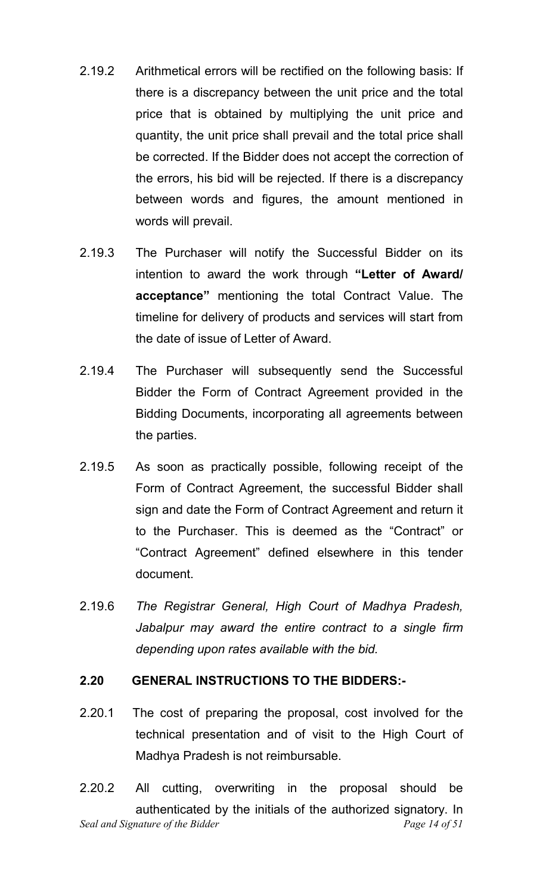- 2.19.2 Arithmetical errors will be rectified on the following basis: If there is a discrepancy between the unit price and the total price that is obtained by multiplying the unit price and quantity, the unit price shall prevail and the total price shall be corrected. If the Bidder does not accept the correction of the errors, his bid will be rejected. If there is a discrepancy between words and figures, the amount mentioned in words will prevail.
- 2.19.3 The Purchaser will notify the Successful Bidder on its intention to award the work through **"Letter of Award/ acceptance"** mentioning the total Contract Value. The timeline for delivery of products and services will start from the date of issue of Letter of Award.
- 2.19.4 The Purchaser will subsequently send the Successful Bidder the Form of Contract Agreement provided in the Bidding Documents, incorporating all agreements between the parties.
- 2.19.5 As soon as practically possible, following receipt of the Form of Contract Agreement, the successful Bidder shall sign and date the Form of Contract Agreement and return it to the Purchaser. This is deemed as the "Contract" or "Contract Agreement" defined elsewhere in this tender document.
- 2.19.6 *The Registrar General, High Court of Madhya Pradesh, Jabalpur may award the entire contract to a single firm depending upon rates available with the bid.*

#### **2.20 GENERAL INSTRUCTIONS TO THE BIDDERS:-**

2.20.1 The cost of preparing the proposal, cost involved for the technical presentation and of visit to the High Court of Madhya Pradesh is not reimbursable.

*Seal and Signature of the Bidder* extended the *Page 14 of 51* 2.20.2 All cutting, overwriting in the proposal should be authenticated by the initials of the authorized signatory. In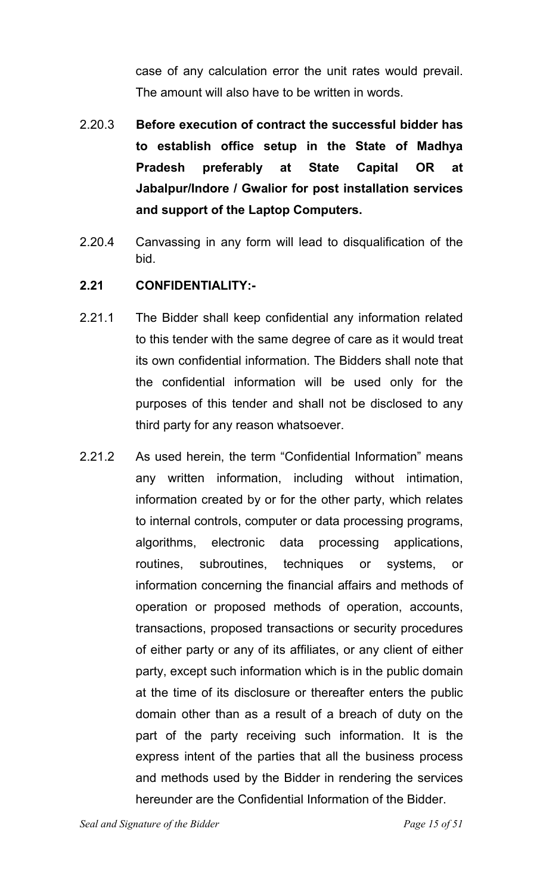case of any calculation error the unit rates would prevail. The amount will also have to be written in words.

- 2.20.3 **Before execution of contract the successful bidder has to establish office setup in the State of Madhya Pradesh preferably at State Capital OR at Jabalpur/Indore / Gwalior for post installation services and support of the Laptop Computers.**
- 2.20.4 Canvassing in any form will lead to disqualification of the bid.
- **2.21 CONFIDENTIALITY:-**
- 2.21.1 The Bidder shall keep confidential any information related to this tender with the same degree of care as it would treat its own confidential information. The Bidders shall note that the confidential information will be used only for the purposes of this tender and shall not be disclosed to any third party for any reason whatsoever.
- 2.21.2 As used herein, the term "Confidential Information" means any written information, including without intimation, information created by or for the other party, which relates to internal controls, computer or data processing programs, algorithms, electronic data processing applications, routines, subroutines, techniques or systems, or information concerning the financial affairs and methods of operation or proposed methods of operation, accounts, transactions, proposed transactions or security procedures of either party or any of its affiliates, or any client of either party, except such information which is in the public domain at the time of its disclosure or thereafter enters the public domain other than as a result of a breach of duty on the part of the party receiving such information. It is the express intent of the parties that all the business process and methods used by the Bidder in rendering the services hereunder are the Confidential Information of the Bidder.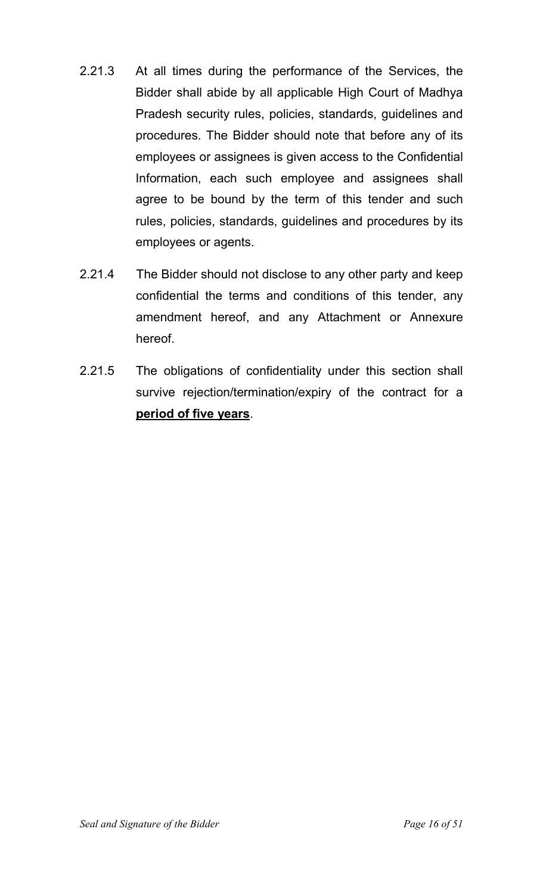- 2.21.3 At all times during the performance of the Services, the Bidder shall abide by all applicable High Court of Madhya Pradesh security rules, policies, standards, guidelines and procedures. The Bidder should note that before any of its employees or assignees is given access to the Confidential Information, each such employee and assignees shall agree to be bound by the term of this tender and such rules, policies, standards, guidelines and procedures by its employees or agents.
- 2.21.4 The Bidder should not disclose to any other party and keep confidential the terms and conditions of this tender, any amendment hereof, and any Attachment or Annexure hereof.
- 2.21.5 The obligations of confidentiality under this section shall survive rejection/termination/expiry of the contract for a **period of five years**.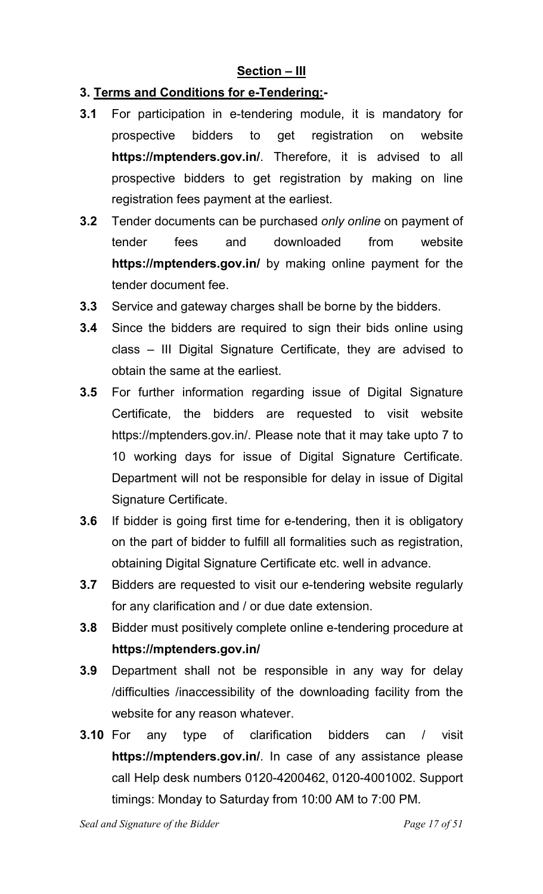#### **Section – III**

#### **3. Terms and Conditions for e-Tendering:-**

- **3.1** For participation in e-tendering module, it is mandatory for prospective bidders to get registration on website **https://mptenders.gov.in/**. Therefore, it is advised to all prospective bidders to get registration by making on line registration fees payment at the earliest.
- **3.2** Tender documents can be purchased *only online* on payment of tender fees and downloaded from website **https://mptenders.gov.in/** by making online payment for the tender document fee.
- **3.3** Service and gateway charges shall be borne by the bidders.
- **3.4** Since the bidders are required to sign their bids online using class – III Digital Signature Certificate, they are advised to obtain the same at the earliest.
- **3.5** For further information regarding issue of Digital Signature Certificate, the bidders are requested to visit website https://mptenders.gov.in/. Please note that it may take upto 7 to 10 working days for issue of Digital Signature Certificate. Department will not be responsible for delay in issue of Digital Signature Certificate.
- **3.6** If bidder is going first time for e-tendering, then it is obligatory on the part of bidder to fulfill all formalities such as registration, obtaining Digital Signature Certificate etc. well in advance.
- **3.7** Bidders are requested to visit our e-tendering website regularly for any clarification and / or due date extension.
- **3.8** Bidder must positively complete online e-tendering procedure at **https://mptenders.gov.in/**
- **3.9** Department shall not be responsible in any way for delay /difficulties /inaccessibility of the downloading facility from the website for any reason whatever.
- **3.10** For any type of clarification bidders can / visit **https://mptenders.gov.in/**. In case of any assistance please call Help desk numbers 0120-4200462, 0120-4001002. Support timings: Monday to Saturday from 10:00 AM to 7:00 PM.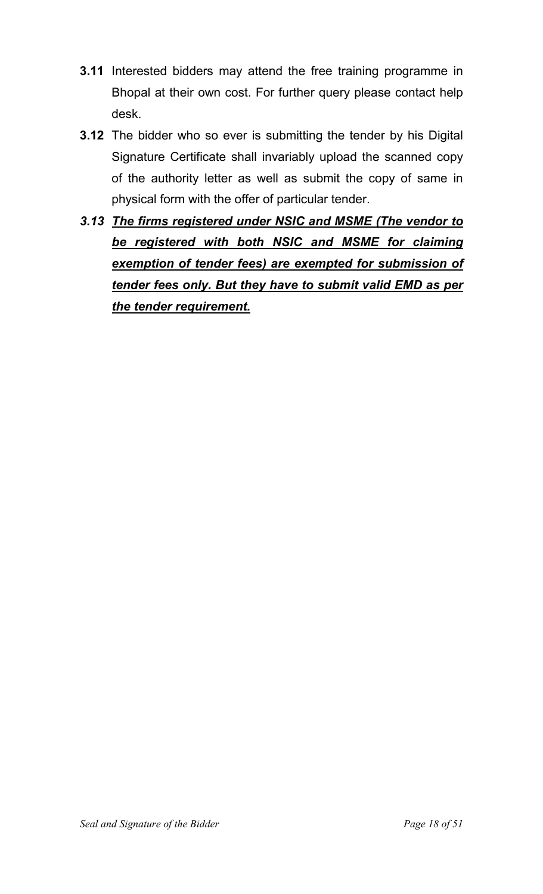- **3.11** Interested bidders may attend the free training programme in Bhopal at their own cost. For further query please contact help desk.
- **3.12** The bidder who so ever is submitting the tender by his Digital Signature Certificate shall invariably upload the scanned copy of the authority letter as well as submit the copy of same in physical form with the offer of particular tender.
- *3.13 The firms registered under NSIC and MSME (The vendor to be registered with both NSIC and MSME for claiming exemption of tender fees) are exempted for submission of tender fees only. But they have to submit valid EMD as per the tender requirement.*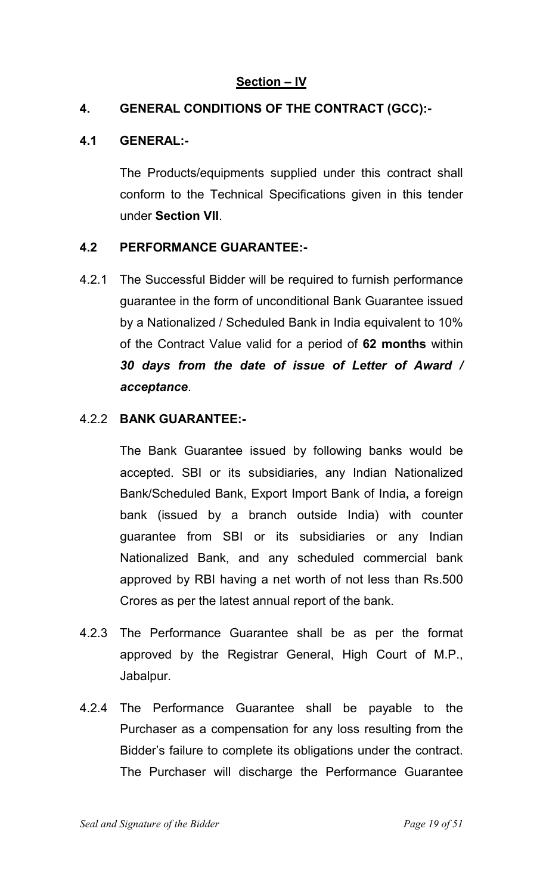#### **Section – IV**

#### **4. GENERAL CONDITIONS OF THE CONTRACT (GCC):-**

#### **4.1 GENERAL:-**

 The Products/equipments supplied under this contract shall conform to the Technical Specifications given in this tender under **Section VII**.

#### **4.2 PERFORMANCE GUARANTEE:-**

4.2.1 The Successful Bidder will be required to furnish performance guarantee in the form of unconditional Bank Guarantee issued by a Nationalized / Scheduled Bank in India equivalent to 10% of the Contract Value valid for a period of **62 months** within *30 days from the date of issue of Letter of Award / acceptance*.

#### 4.2.2 **BANK GUARANTEE:-**

 The Bank Guarantee issued by following banks would be accepted. SBI or its subsidiaries, any Indian Nationalized Bank/Scheduled Bank, Export Import Bank of India**,** a foreign bank (issued by a branch outside India) with counter guarantee from SBI or its subsidiaries or any Indian Nationalized Bank, and any scheduled commercial bank approved by RBI having a net worth of not less than Rs.500 Crores as per the latest annual report of the bank.

- 4.2.3 The Performance Guarantee shall be as per the format approved by the Registrar General, High Court of M.P., Jabalpur.
- 4.2.4 The Performance Guarantee shall be payable to the Purchaser as a compensation for any loss resulting from the Bidder's failure to complete its obligations under the contract. The Purchaser will discharge the Performance Guarantee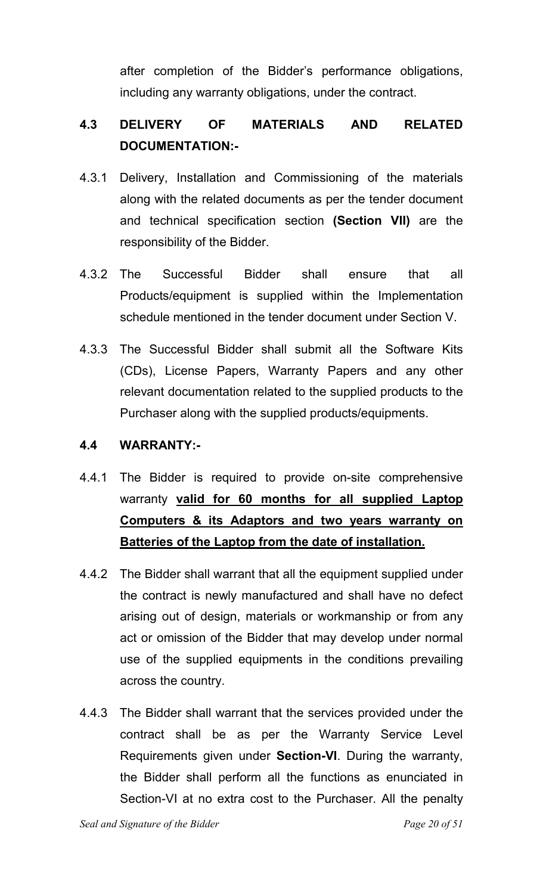after completion of the Bidder's performance obligations, including any warranty obligations, under the contract.

# **4.3 DELIVERY OF MATERIALS AND RELATED DOCUMENTATION:-**

- 4.3.1 Delivery, Installation and Commissioning of the materials along with the related documents as per the tender document and technical specification section **(Section VII)** are the responsibility of the Bidder.
- 4.3.2 The Successful Bidder shall ensure that all Products/equipment is supplied within the Implementation schedule mentioned in the tender document under Section V.
- 4.3.3 The Successful Bidder shall submit all the Software Kits (CDs), License Papers, Warranty Papers and any other relevant documentation related to the supplied products to the Purchaser along with the supplied products/equipments.

#### **4.4 WARRANTY:-**

- 4.4.1 The Bidder is required to provide on-site comprehensive warranty **valid for 60 months for all supplied Laptop Computers & its Adaptors and two years warranty on Batteries of the Laptop from the date of installation.**
- 4.4.2 The Bidder shall warrant that all the equipment supplied under the contract is newly manufactured and shall have no defect arising out of design, materials or workmanship or from any act or omission of the Bidder that may develop under normal use of the supplied equipments in the conditions prevailing across the country.
- 4.4.3 The Bidder shall warrant that the services provided under the contract shall be as per the Warranty Service Level Requirements given under **Section-VI**. During the warranty, the Bidder shall perform all the functions as enunciated in Section-VI at no extra cost to the Purchaser. All the penalty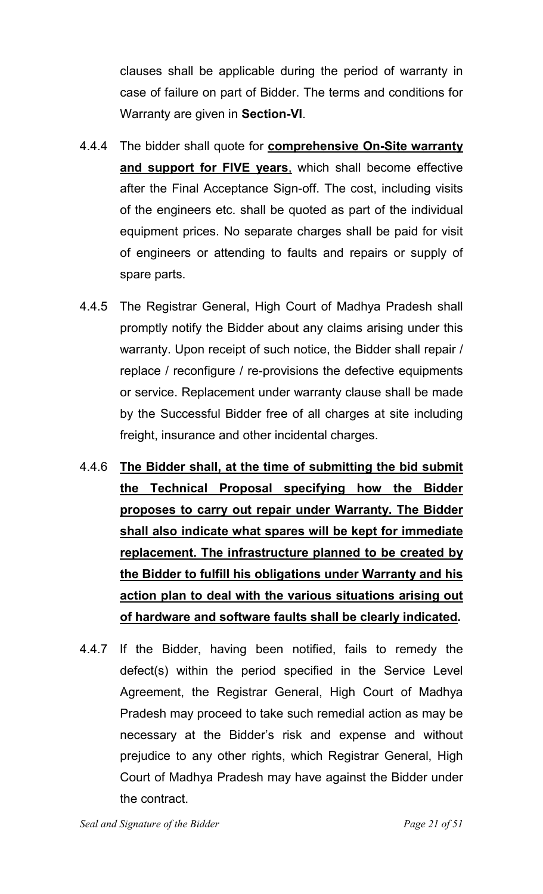clauses shall be applicable during the period of warranty in case of failure on part of Bidder. The terms and conditions for Warranty are given in **Section-VI**.

- 4.4.4 The bidder shall quote for **comprehensive On-Site warranty and support for FIVE years**, which shall become effective after the Final Acceptance Sign-off. The cost, including visits of the engineers etc. shall be quoted as part of the individual equipment prices. No separate charges shall be paid for visit of engineers or attending to faults and repairs or supply of spare parts.
- 4.4.5 The Registrar General, High Court of Madhya Pradesh shall promptly notify the Bidder about any claims arising under this warranty. Upon receipt of such notice, the Bidder shall repair / replace / reconfigure / re-provisions the defective equipments or service. Replacement under warranty clause shall be made by the Successful Bidder free of all charges at site including freight, insurance and other incidental charges.
- 4.4.6 **The Bidder shall, at the time of submitting the bid submit the Technical Proposal specifying how the Bidder proposes to carry out repair under Warranty. The Bidder shall also indicate what spares will be kept for immediate replacement. The infrastructure planned to be created by the Bidder to fulfill his obligations under Warranty and his action plan to deal with the various situations arising out of hardware and software faults shall be clearly indicated.**
- 4.4.7 If the Bidder, having been notified, fails to remedy the defect(s) within the period specified in the Service Level Agreement, the Registrar General, High Court of Madhya Pradesh may proceed to take such remedial action as may be necessary at the Bidder's risk and expense and without prejudice to any other rights, which Registrar General, High Court of Madhya Pradesh may have against the Bidder under the contract.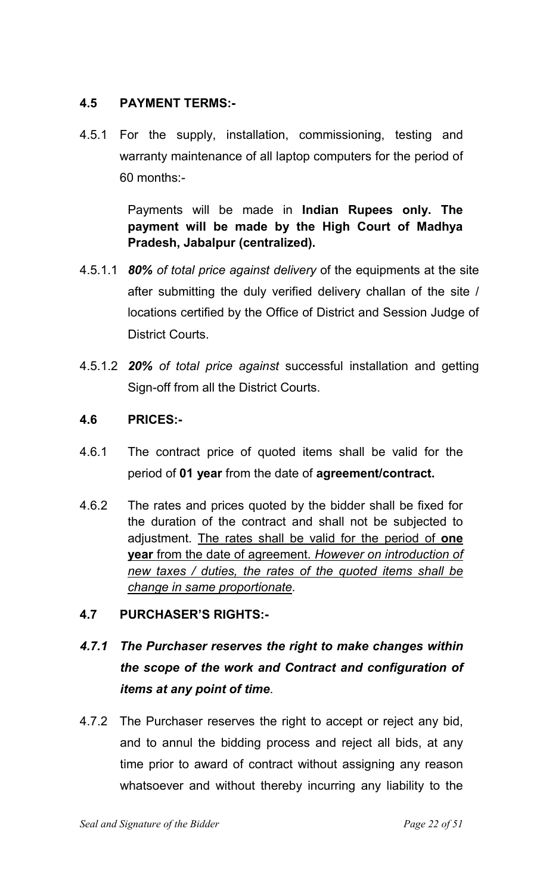#### **4.5 PAYMENT TERMS:-**

4.5.1 For the supply, installation, commissioning, testing and warranty maintenance of all laptop computers for the period of 60 months:-

> Payments will be made in **Indian Rupees only. The payment will be made by the High Court of Madhya Pradesh, Jabalpur (centralized).**

- 4.5.1.1 *80% of total price against delivery* of the equipments at the site after submitting the duly verified delivery challan of the site / locations certified by the Office of District and Session Judge of District Courts.
- 4.5.1.2 *20% of total price against* successful installation and getting Sign-off from all the District Courts.

#### **4.6 PRICES:-**

- 4.6.1 The contract price of quoted items shall be valid for the period of **01 year** from the date of **agreement/contract.**
- 4.6.2 The rates and prices quoted by the bidder shall be fixed for the duration of the contract and shall not be subjected to adjustment. The rates shall be valid for the period of **one year** from the date of agreement. *However on introduction of new taxes / duties, the rates of the quoted items shall be change in same proportionate.*
- **4.7 PURCHASER'S RIGHTS:-**

# *4.7.1 The Purchaser reserves the right to make changes within the scope of the work and Contract and configuration of items at any point of time*.

4.7.2 The Purchaser reserves the right to accept or reject any bid, and to annul the bidding process and reject all bids, at any time prior to award of contract without assigning any reason whatsoever and without thereby incurring any liability to the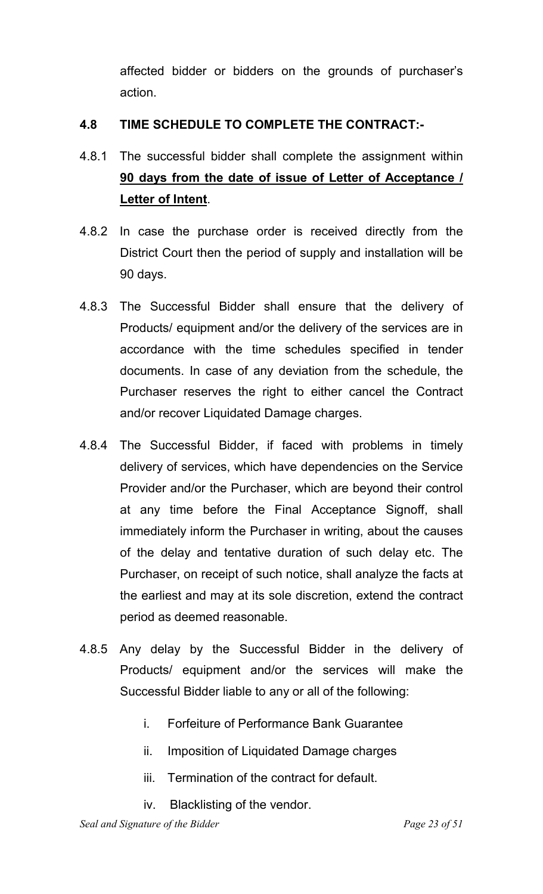affected bidder or bidders on the grounds of purchaser's action.

#### **4.8 TIME SCHEDULE TO COMPLETE THE CONTRACT:-**

- 4.8.1 The successful bidder shall complete the assignment within **90 days from the date of issue of Letter of Acceptance / Letter of Intent**.
- 4.8.2 In case the purchase order is received directly from the District Court then the period of supply and installation will be 90 days.
- 4.8.3 The Successful Bidder shall ensure that the delivery of Products/ equipment and/or the delivery of the services are in accordance with the time schedules specified in tender documents. In case of any deviation from the schedule, the Purchaser reserves the right to either cancel the Contract and/or recover Liquidated Damage charges.
- 4.8.4 The Successful Bidder, if faced with problems in timely delivery of services, which have dependencies on the Service Provider and/or the Purchaser, which are beyond their control at any time before the Final Acceptance Signoff, shall immediately inform the Purchaser in writing, about the causes of the delay and tentative duration of such delay etc. The Purchaser, on receipt of such notice, shall analyze the facts at the earliest and may at its sole discretion, extend the contract period as deemed reasonable.
- 4.8.5 Any delay by the Successful Bidder in the delivery of Products/ equipment and/or the services will make the Successful Bidder liable to any or all of the following:
	- i. Forfeiture of Performance Bank Guarantee
	- ii. Imposition of Liquidated Damage charges
	- iii. Termination of the contract for default.
	- iv. Blacklisting of the vendor.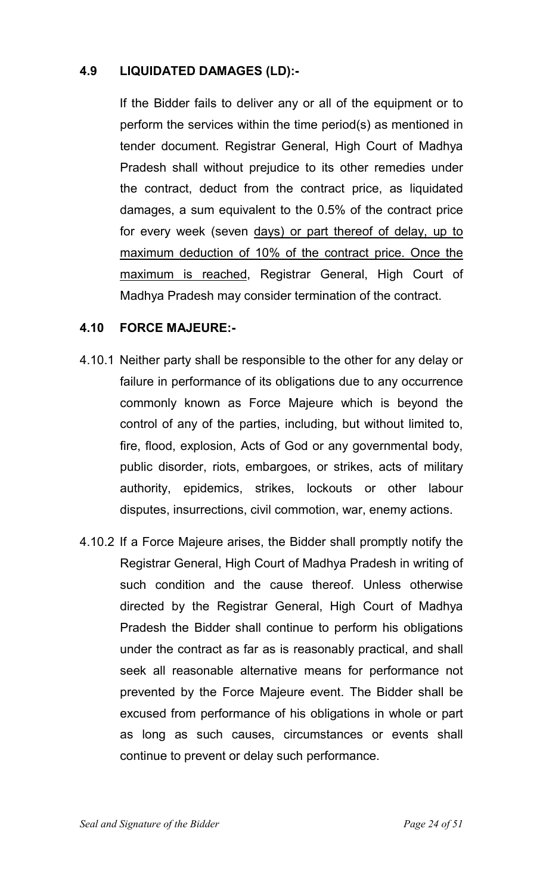#### **4.9 LIQUIDATED DAMAGES (LD):-**

 If the Bidder fails to deliver any or all of the equipment or to perform the services within the time period(s) as mentioned in tender document. Registrar General, High Court of Madhya Pradesh shall without prejudice to its other remedies under the contract, deduct from the contract price, as liquidated damages, a sum equivalent to the 0.5% of the contract price for every week (seven days) or part thereof of delay, up to maximum deduction of 10% of the contract price. Once the maximum is reached, Registrar General, High Court of Madhya Pradesh may consider termination of the contract.

#### **4.10 FORCE MAJEURE:-**

- 4.10.1 Neither party shall be responsible to the other for any delay or failure in performance of its obligations due to any occurrence commonly known as Force Majeure which is beyond the control of any of the parties, including, but without limited to, fire, flood, explosion, Acts of God or any governmental body, public disorder, riots, embargoes, or strikes, acts of military authority, epidemics, strikes, lockouts or other labour disputes, insurrections, civil commotion, war, enemy actions.
- 4.10.2 If a Force Majeure arises, the Bidder shall promptly notify the Registrar General, High Court of Madhya Pradesh in writing of such condition and the cause thereof. Unless otherwise directed by the Registrar General, High Court of Madhya Pradesh the Bidder shall continue to perform his obligations under the contract as far as is reasonably practical, and shall seek all reasonable alternative means for performance not prevented by the Force Majeure event. The Bidder shall be excused from performance of his obligations in whole or part as long as such causes, circumstances or events shall continue to prevent or delay such performance.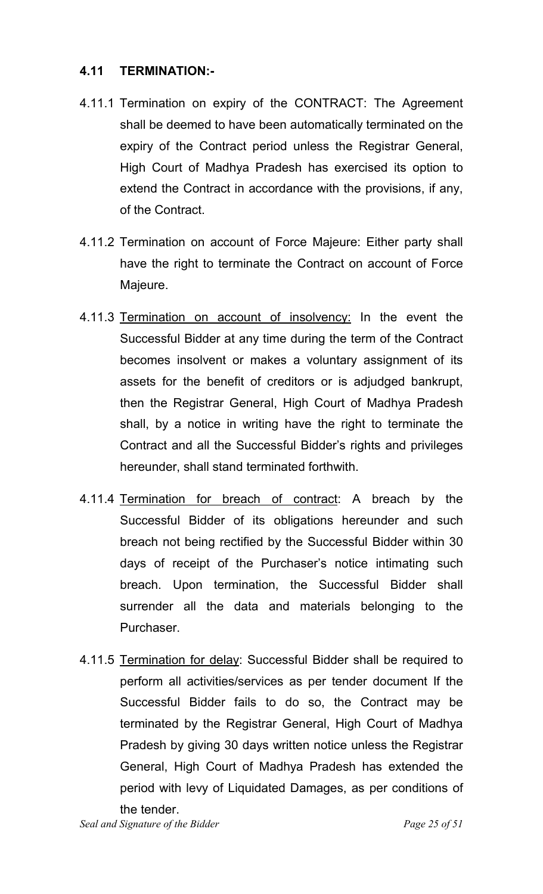#### **4.11 TERMINATION:-**

- 4.11.1 Termination on expiry of the CONTRACT: The Agreement shall be deemed to have been automatically terminated on the expiry of the Contract period unless the Registrar General, High Court of Madhya Pradesh has exercised its option to extend the Contract in accordance with the provisions, if any, of the Contract.
- 4.11.2 Termination on account of Force Majeure: Either party shall have the right to terminate the Contract on account of Force Majeure.
- 4.11.3 Termination on account of insolvency: In the event the Successful Bidder at any time during the term of the Contract becomes insolvent or makes a voluntary assignment of its assets for the benefit of creditors or is adjudged bankrupt, then the Registrar General, High Court of Madhya Pradesh shall, by a notice in writing have the right to terminate the Contract and all the Successful Bidder's rights and privileges hereunder, shall stand terminated forthwith.
- 4.11.4 Termination for breach of contract: A breach by the Successful Bidder of its obligations hereunder and such breach not being rectified by the Successful Bidder within 30 days of receipt of the Purchaser's notice intimating such breach. Upon termination, the Successful Bidder shall surrender all the data and materials belonging to the Purchaser.
- 4.11.5 Termination for delay: Successful Bidder shall be required to perform all activities/services as per tender document If the Successful Bidder fails to do so, the Contract may be terminated by the Registrar General, High Court of Madhya Pradesh by giving 30 days written notice unless the Registrar General, High Court of Madhya Pradesh has extended the period with levy of Liquidated Damages, as per conditions of the tender.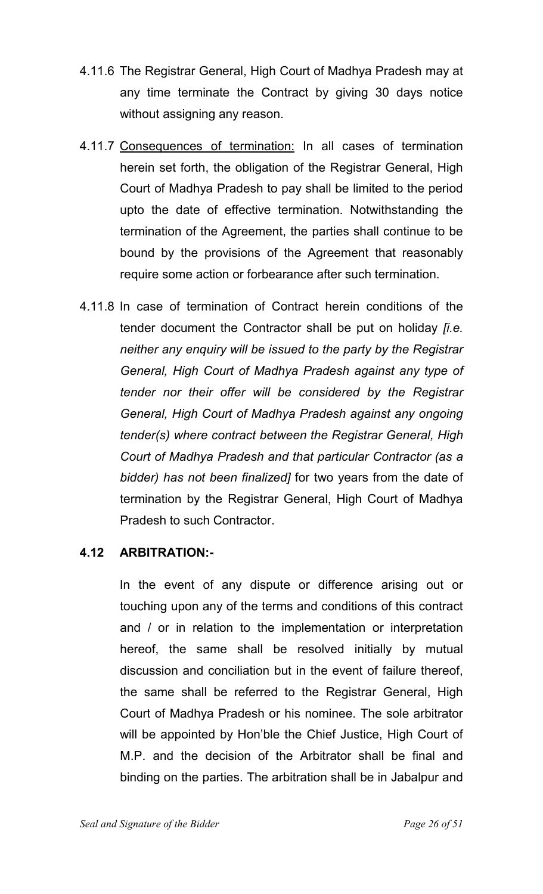- 4.11.6 The Registrar General, High Court of Madhya Pradesh may at any time terminate the Contract by giving 30 days notice without assigning any reason.
- 4.11.7 Consequences of termination: In all cases of termination herein set forth, the obligation of the Registrar General, High Court of Madhya Pradesh to pay shall be limited to the period upto the date of effective termination. Notwithstanding the termination of the Agreement, the parties shall continue to be bound by the provisions of the Agreement that reasonably require some action or forbearance after such termination.
- 4.11.8 In case of termination of Contract herein conditions of the tender document the Contractor shall be put on holiday *[i.e. neither any enquiry will be issued to the party by the Registrar General, High Court of Madhya Pradesh against any type of tender nor their offer will be considered by the Registrar General, High Court of Madhya Pradesh against any ongoing tender(s) where contract between the Registrar General, High Court of Madhya Pradesh and that particular Contractor (as a bidder) has not been finalized]* for two years from the date of termination by the Registrar General, High Court of Madhya Pradesh to such Contractor.

#### **4.12 ARBITRATION:-**

 In the event of any dispute or difference arising out or touching upon any of the terms and conditions of this contract and / or in relation to the implementation or interpretation hereof, the same shall be resolved initially by mutual discussion and conciliation but in the event of failure thereof, the same shall be referred to the Registrar General, High Court of Madhya Pradesh or his nominee. The sole arbitrator will be appointed by Hon'ble the Chief Justice, High Court of M.P. and the decision of the Arbitrator shall be final and binding on the parties. The arbitration shall be in Jabalpur and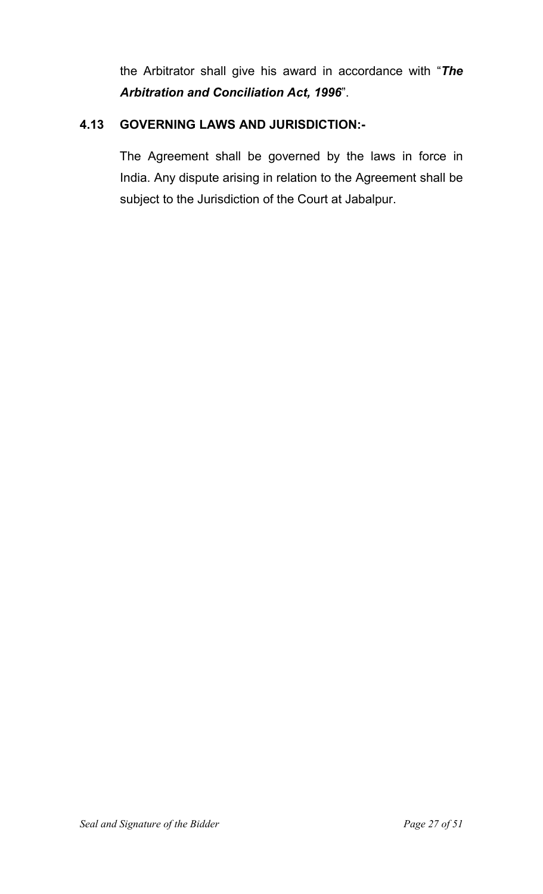the Arbitrator shall give his award in accordance with "*The Arbitration and Conciliation Act, 1996*".

#### **4.13 GOVERNING LAWS AND JURISDICTION:-**

 The Agreement shall be governed by the laws in force in India. Any dispute arising in relation to the Agreement shall be subject to the Jurisdiction of the Court at Jabalpur.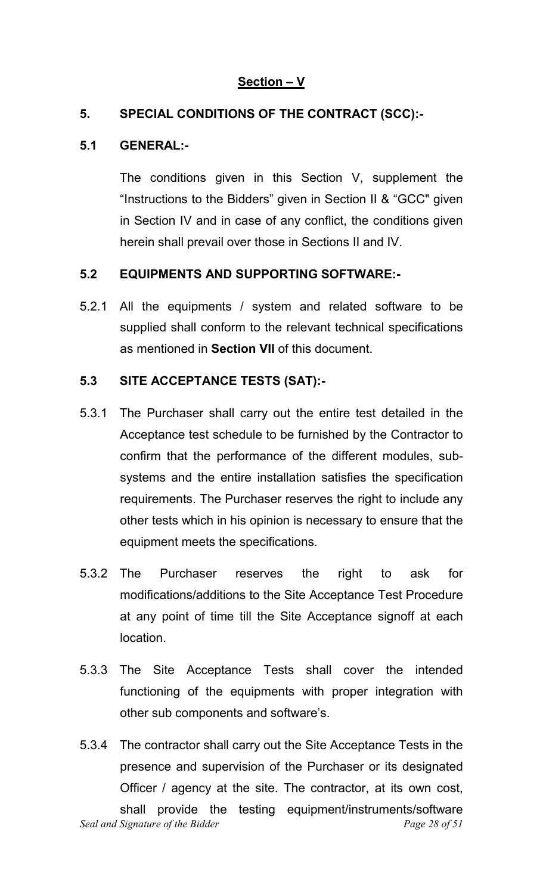#### **Section – V**

#### **5. SPECIAL CONDITIONS OF THE CONTRACT (SCC):-**

#### **5.1 GENERAL:-**

 The conditions given in this Section V, supplement the "Instructions to the Bidders" given in Section II & "GCC" given in Section IV and in case of any conflict, the conditions given herein shall prevail over those in Sections II and IV.

#### **5.2 EQUIPMENTS AND SUPPORTING SOFTWARE:-**

5.2.1 All the equipments / system and related software to be supplied shall conform to the relevant technical specifications as mentioned in **Section VII** of this document.

#### **5.3 SITE ACCEPTANCE TESTS (SAT):-**

- 5.3.1 The Purchaser shall carry out the entire test detailed in the Acceptance test schedule to be furnished by the Contractor to confirm that the performance of the different modules, subsystems and the entire installation satisfies the specification requirements. The Purchaser reserves the right to include any other tests which in his opinion is necessary to ensure that the equipment meets the specifications.
- 5.3.2 The Purchaser reserves the right to ask for modifications/additions to the Site Acceptance Test Procedure at any point of time till the Site Acceptance signoff at each location.
- 5.3.3 The Site Acceptance Tests shall cover the intended functioning of the equipments with proper integration with other sub components and software's.
- *Seal and Signature of the Bidder* example 28 of 51 5.3.4 The contractor shall carry out the Site Acceptance Tests in the presence and supervision of the Purchaser or its designated Officer / agency at the site. The contractor, at its own cost, shall provide the testing equipment/instruments/software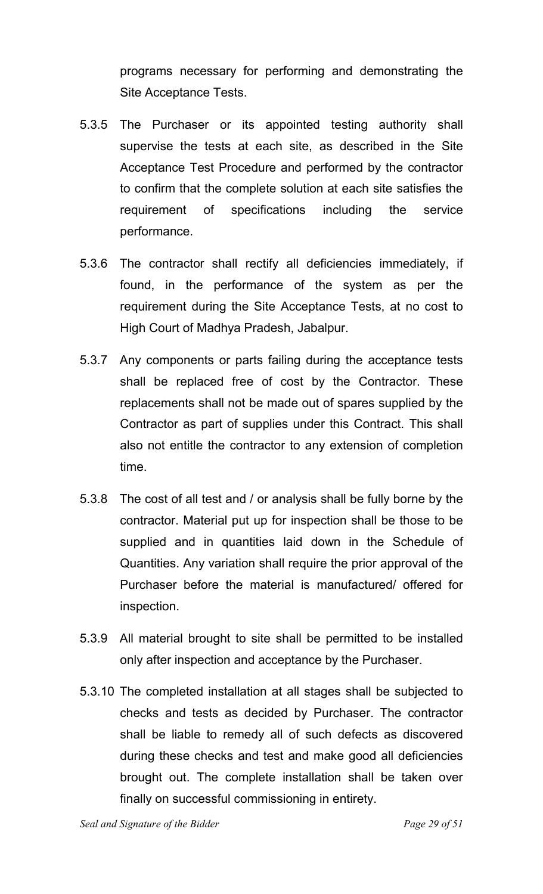programs necessary for performing and demonstrating the Site Acceptance Tests.

- 5.3.5 The Purchaser or its appointed testing authority shall supervise the tests at each site, as described in the Site Acceptance Test Procedure and performed by the contractor to confirm that the complete solution at each site satisfies the requirement of specifications including the service performance.
- 5.3.6 The contractor shall rectify all deficiencies immediately, if found, in the performance of the system as per the requirement during the Site Acceptance Tests, at no cost to High Court of Madhya Pradesh, Jabalpur.
- 5.3.7 Any components or parts failing during the acceptance tests shall be replaced free of cost by the Contractor. These replacements shall not be made out of spares supplied by the Contractor as part of supplies under this Contract. This shall also not entitle the contractor to any extension of completion time.
- 5.3.8 The cost of all test and / or analysis shall be fully borne by the contractor. Material put up for inspection shall be those to be supplied and in quantities laid down in the Schedule of Quantities. Any variation shall require the prior approval of the Purchaser before the material is manufactured/ offered for inspection.
- 5.3.9 All material brought to site shall be permitted to be installed only after inspection and acceptance by the Purchaser.
- 5.3.10 The completed installation at all stages shall be subjected to checks and tests as decided by Purchaser. The contractor shall be liable to remedy all of such defects as discovered during these checks and test and make good all deficiencies brought out. The complete installation shall be taken over finally on successful commissioning in entirety.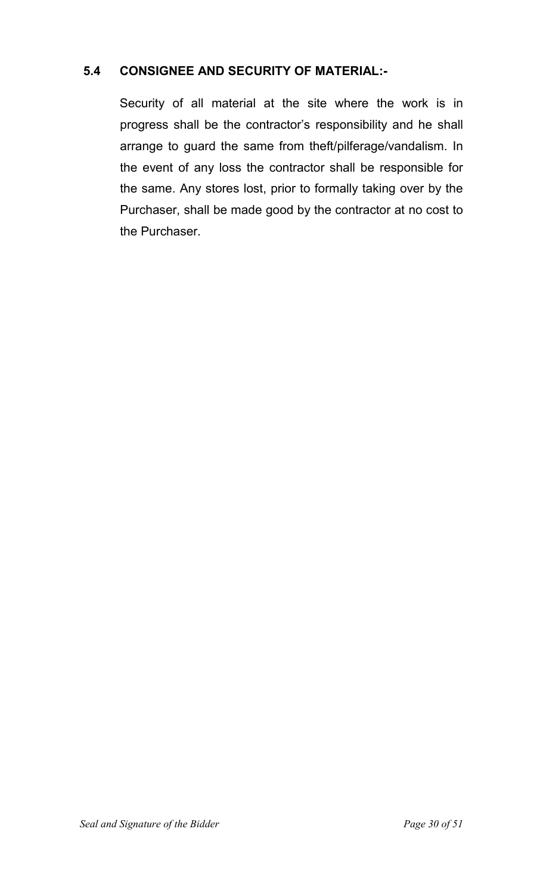#### **5.4 CONSIGNEE AND SECURITY OF MATERIAL:-**

 Security of all material at the site where the work is in progress shall be the contractor's responsibility and he shall arrange to guard the same from theft/pilferage/vandalism. In the event of any loss the contractor shall be responsible for the same. Any stores lost, prior to formally taking over by the Purchaser, shall be made good by the contractor at no cost to the Purchaser.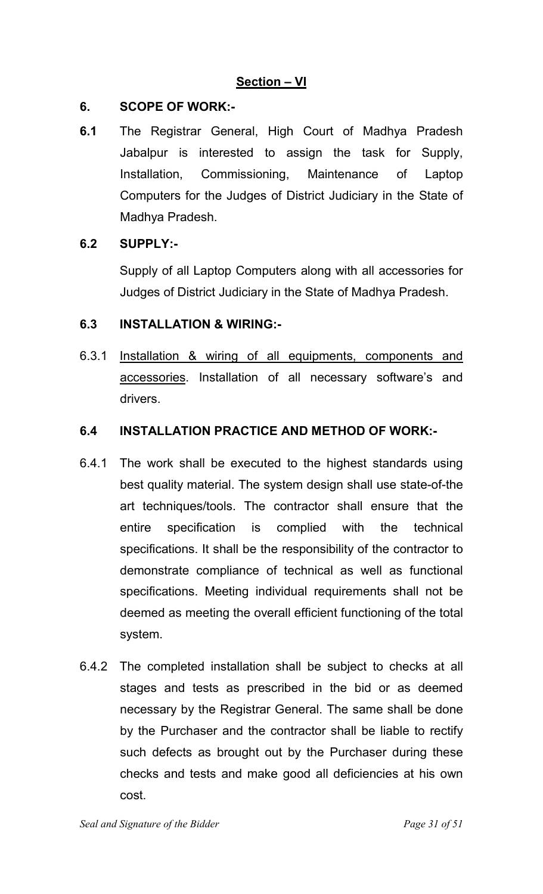#### **6. SCOPE OF WORK:-**

**6.1** The Registrar General, High Court of Madhya Pradesh Jabalpur is interested to assign the task for Supply, Installation, Commissioning, Maintenance of Laptop Computers for the Judges of District Judiciary in the State of Madhya Pradesh.

#### **6.2 SUPPLY:-**

 Supply of all Laptop Computers along with all accessories for Judges of District Judiciary in the State of Madhya Pradesh.

#### **6.3 INSTALLATION & WIRING:-**

6.3.1 Installation & wiring of all equipments, components and accessories. Installation of all necessary software's and drivers.

#### **6.4 INSTALLATION PRACTICE AND METHOD OF WORK:-**

- 6.4.1 The work shall be executed to the highest standards using best quality material. The system design shall use state-of-the art techniques/tools. The contractor shall ensure that the entire specification is complied with the technical specifications. It shall be the responsibility of the contractor to demonstrate compliance of technical as well as functional specifications. Meeting individual requirements shall not be deemed as meeting the overall efficient functioning of the total system.
- 6.4.2 The completed installation shall be subject to checks at all stages and tests as prescribed in the bid or as deemed necessary by the Registrar General. The same shall be done by the Purchaser and the contractor shall be liable to rectify such defects as brought out by the Purchaser during these checks and tests and make good all deficiencies at his own cost.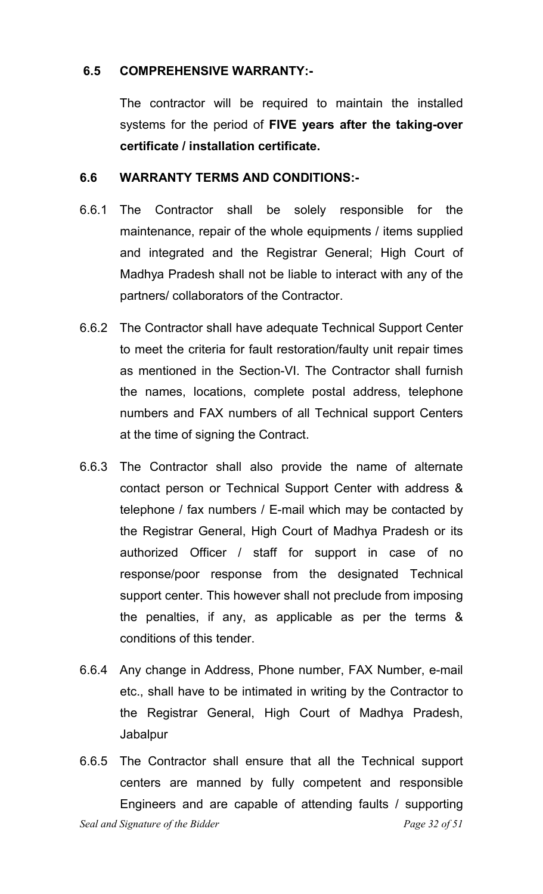#### **6.5 COMPREHENSIVE WARRANTY:-**

 The contractor will be required to maintain the installed systems for the period of **FIVE years after the taking-over certificate / installation certificate.**

#### **6.6 WARRANTY TERMS AND CONDITIONS:-**

- 6.6.1 The Contractor shall be solely responsible for the maintenance, repair of the whole equipments / items supplied and integrated and the Registrar General; High Court of Madhya Pradesh shall not be liable to interact with any of the partners/ collaborators of the Contractor.
- 6.6.2 The Contractor shall have adequate Technical Support Center to meet the criteria for fault restoration/faulty unit repair times as mentioned in the Section-VI. The Contractor shall furnish the names, locations, complete postal address, telephone numbers and FAX numbers of all Technical support Centers at the time of signing the Contract.
- 6.6.3 The Contractor shall also provide the name of alternate contact person or Technical Support Center with address & telephone / fax numbers / E-mail which may be contacted by the Registrar General, High Court of Madhya Pradesh or its authorized Officer / staff for support in case of no response/poor response from the designated Technical support center. This however shall not preclude from imposing the penalties, if any, as applicable as per the terms & conditions of this tender.
- 6.6.4 Any change in Address, Phone number, FAX Number, e-mail etc., shall have to be intimated in writing by the Contractor to the Registrar General, High Court of Madhya Pradesh, Jabalpur
- *Seal and Signature of the Bidder* extended the *Page 32 of 51* 6.6.5 The Contractor shall ensure that all the Technical support centers are manned by fully competent and responsible Engineers and are capable of attending faults / supporting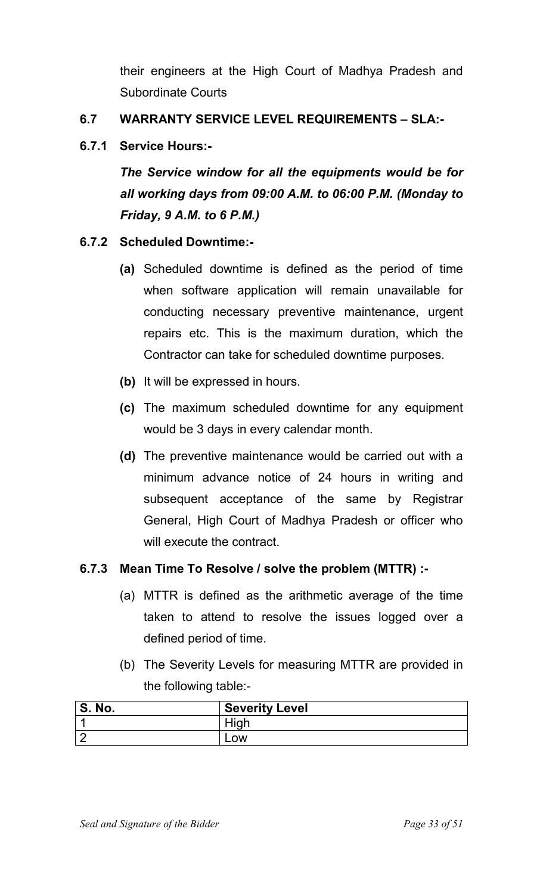their engineers at the High Court of Madhya Pradesh and Subordinate Courts

#### **6.7 WARRANTY SERVICE LEVEL REQUIREMENTS – SLA:-**

#### **6.7.1 Service Hours:-**

*The Service window for all the equipments would be for all working days from 09:00 A.M. to 06:00 P.M. (Monday to Friday, 9 A.M. to 6 P.M.)* 

#### **6.7.2 Scheduled Downtime:-**

- **(a)** Scheduled downtime is defined as the period of time when software application will remain unavailable for conducting necessary preventive maintenance, urgent repairs etc. This is the maximum duration, which the Contractor can take for scheduled downtime purposes.
- **(b)** It will be expressed in hours.
- **(c)** The maximum scheduled downtime for any equipment would be 3 days in every calendar month.
- **(d)** The preventive maintenance would be carried out with a minimum advance notice of 24 hours in writing and subsequent acceptance of the same by Registrar General, High Court of Madhya Pradesh or officer who will execute the contract.

#### **6.7.3 Mean Time To Resolve / solve the problem (MTTR) :-**

- (a) MTTR is defined as the arithmetic average of the time taken to attend to resolve the issues logged over a defined period of time.
- (b) The Severity Levels for measuring MTTR are provided in the following table:-

| No.<br>o. | <b>Severity Level</b> |
|-----------|-----------------------|
|           |                       |
|           | שכ                    |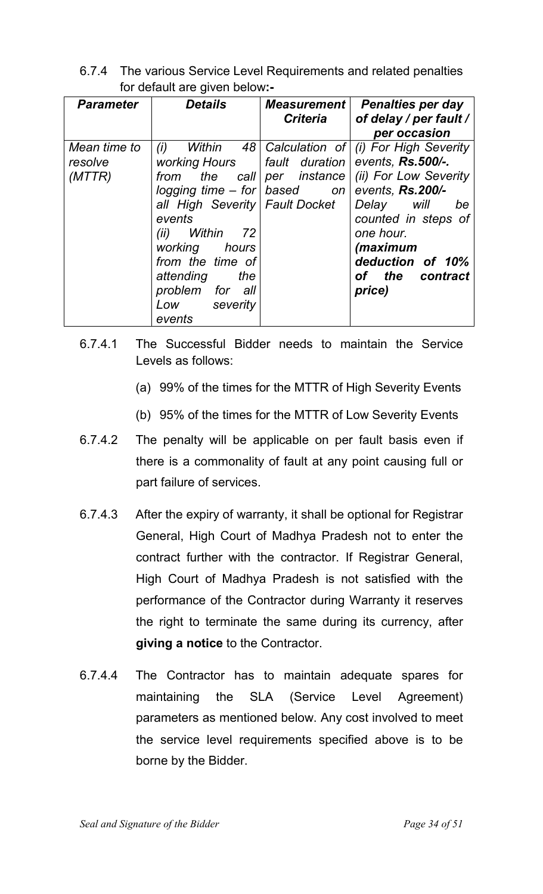6.7.4 The various Service Level Requirements and related penalties for default are given below**:-**

| <b>Parameter</b>                  | <b>Details</b>                                                                                                                                                                                                                                              | <b>Measurement</b><br><b>Criteria</b> | <b>Penalties per day</b><br>of delay / per fault /<br>per occasion                                                                                                                                    |
|-----------------------------------|-------------------------------------------------------------------------------------------------------------------------------------------------------------------------------------------------------------------------------------------------------------|---------------------------------------|-------------------------------------------------------------------------------------------------------------------------------------------------------------------------------------------------------|
| Mean time to<br>resolve<br>(MTTR) | (i)<br>Within<br>working Hours  <br>from the<br>logging time $-$ for   based on<br>all High Severity   Fault Docket<br>events<br>Within<br>72<br>(ii)<br>working hours<br>from the time of<br>attending<br>the<br>problem for all<br>Low severity<br>events | fault duration                        | 48 Calculation of (i) For High Severity<br>events, Rs.500/-.<br>events, Rs.200/-<br>Delay will<br>be<br>counted in steps of<br>one hour.<br>(maximum<br>deduction of 10%<br>of the contract<br>price) |

- 6.7.4.1 The Successful Bidder needs to maintain the Service Levels as follows:
	- (a) 99% of the times for the MTTR of High Severity Events
	- (b) 95% of the times for the MTTR of Low Severity Events
- 6.7.4.2 The penalty will be applicable on per fault basis even if there is a commonality of fault at any point causing full or part failure of services.
- 6.7.4.3 After the expiry of warranty, it shall be optional for Registrar General, High Court of Madhya Pradesh not to enter the contract further with the contractor. If Registrar General, High Court of Madhya Pradesh is not satisfied with the performance of the Contractor during Warranty it reserves the right to terminate the same during its currency, after **giving a notice** to the Contractor.
- 6.7.4.4 The Contractor has to maintain adequate spares for maintaining the SLA (Service Level Agreement) parameters as mentioned below. Any cost involved to meet the service level requirements specified above is to be borne by the Bidder.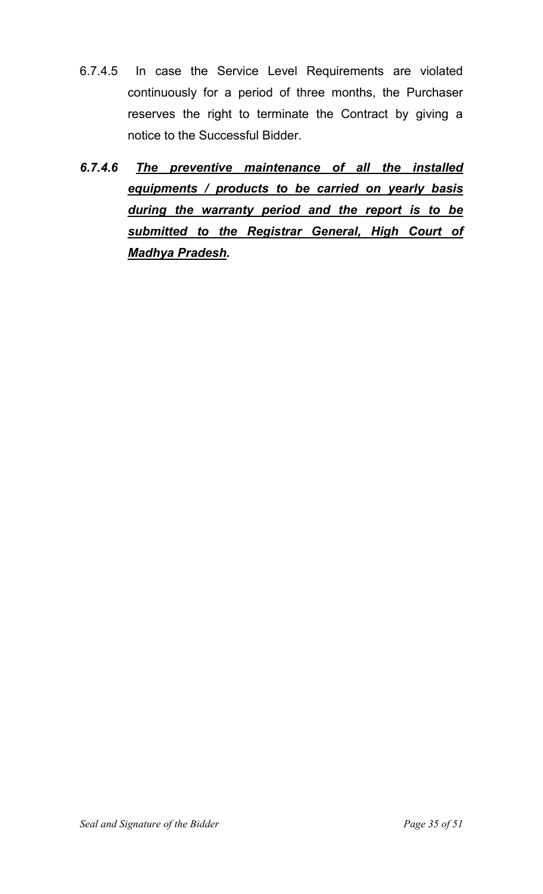- 6.7.4.5 In case the Service Level Requirements are violated continuously for a period of three months, the Purchaser reserves the right to terminate the Contract by giving a notice to the Successful Bidder.
- *6.7.4.6 The preventive maintenance of all the installed equipments / products to be carried on yearly basis during the warranty period and the report is to be submitted to the Registrar General, High Court of Madhya Pradesh.*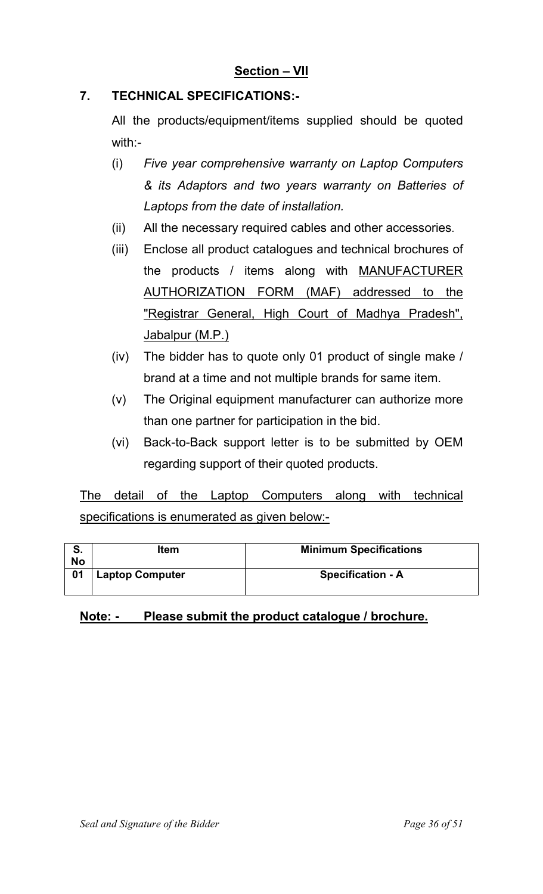#### **7. TECHNICAL SPECIFICATIONS:-**

 All the products/equipment/items supplied should be quoted with:-

- (i) *Five year comprehensive warranty on Laptop Computers & its Adaptors and two years warranty on Batteries of Laptops from the date of installation.*
- (ii) All the necessary required cables and other accessories.
- (iii) Enclose all product catalogues and technical brochures of the products / items along with MANUFACTURER AUTHORIZATION FORM (MAF) addressed to the "Registrar General, High Court of Madhya Pradesh", Jabalpur (M.P.)
- (iv) The bidder has to quote only 01 product of single make / brand at a time and not multiple brands for same item.
- (v) The Original equipment manufacturer can authorize more than one partner for participation in the bid.
- (vi) Back-to-Back support letter is to be submitted by OEM regarding support of their quoted products.

The detail of the Laptop Computers along with technical specifications is enumerated as given below:-

| No | <b>Item</b>            | <b>Minimum Specifications</b> |
|----|------------------------|-------------------------------|
| 01 | <b>Laptop Computer</b> | <b>Specification - A</b>      |

#### **Note: - Please submit the product catalogue / brochure.**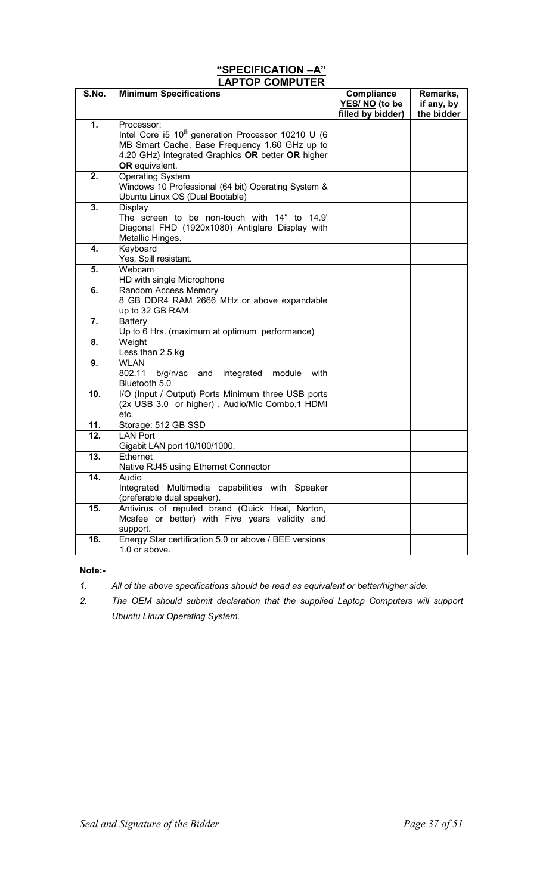#### **"SPECIFICATION –A" LAPTOP COMPUTER**

| S.No. | <b>Minimum Specifications</b>                                                                                                                                                   | Compliance<br>YES/NO (to be<br>filled by bidder) | Remarks,<br>if any, by<br>the bidder |
|-------|---------------------------------------------------------------------------------------------------------------------------------------------------------------------------------|--------------------------------------------------|--------------------------------------|
| 1.    | Processor:                                                                                                                                                                      |                                                  |                                      |
|       | Intel Core i5 $10^{th}$ generation Processor 10210 U (6<br>MB Smart Cache, Base Frequency 1.60 GHz up to<br>4.20 GHz) Integrated Graphics OR better OR higher<br>OR equivalent. |                                                  |                                      |
| 2.    | <b>Operating System</b><br>Windows 10 Professional (64 bit) Operating System &<br>Ubuntu Linux OS (Dual Bootable)                                                               |                                                  |                                      |
| 3.    | Display<br>The screen to be non-touch with 14" to 14.9'<br>Diagonal FHD (1920x1080) Antiglare Display with<br>Metallic Hinges.                                                  |                                                  |                                      |
| 4.    | Keyboard<br>Yes, Spill resistant.                                                                                                                                               |                                                  |                                      |
| 5.    | Webcam<br>HD with single Microphone                                                                                                                                             |                                                  |                                      |
| 6.    | Random Access Memory<br>8 GB DDR4 RAM 2666 MHz or above expandable<br>up to 32 GB RAM.                                                                                          |                                                  |                                      |
| 7.    | <b>Battery</b><br>Up to 6 Hrs. (maximum at optimum performance)                                                                                                                 |                                                  |                                      |
| 8.    | Weight<br>Less than 2.5 kg                                                                                                                                                      |                                                  |                                      |
| 9.    | <b>WLAN</b><br>802.11<br>b/g/n/ac<br>and integrated<br>module<br>with<br>Bluetooth 5.0                                                                                          |                                                  |                                      |
| 10.   | I/O (Input / Output) Ports Minimum three USB ports<br>(2x USB 3.0 or higher), Audio/Mic Combo,1 HDMI<br>etc.                                                                    |                                                  |                                      |
| 11.   | Storage: 512 GB SSD                                                                                                                                                             |                                                  |                                      |
| 12.   | <b>LAN Port</b><br>Gigabit LAN port 10/100/1000.                                                                                                                                |                                                  |                                      |
| 13.   | Ethernet<br>Native RJ45 using Ethernet Connector                                                                                                                                |                                                  |                                      |
| 14.   | Audio<br>Integrated Multimedia capabilities with Speaker<br>(preferable dual speaker).                                                                                          |                                                  |                                      |
| 15.   | Antivirus of reputed brand (Quick Heal, Norton,<br>Mcafee or better) with Five years validity and<br>support.                                                                   |                                                  |                                      |
| 16.   | Energy Star certification 5.0 or above / BEE versions<br>1.0 or above.                                                                                                          |                                                  |                                      |

#### **Note:-**

- *1. All of the above specifications should be read as equivalent or better/higher side.*
- *2. The OEM should submit declaration that the supplied Laptop Computers will support Ubuntu Linux Operating System.*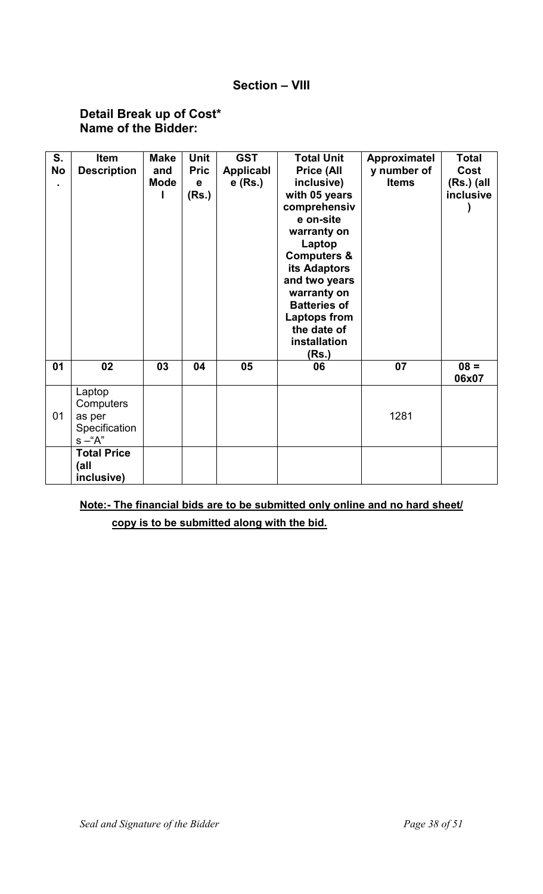#### **Section – VIII**

#### **Detail Break up of Cost\* Name of the Bidder:**

| S.        | Item               | <b>Make</b> | <b>Unit</b> | <b>GST</b> | <b>Total Unit</b>      | Approximatel | <b>Total</b>     |
|-----------|--------------------|-------------|-------------|------------|------------------------|--------------|------------------|
| <b>No</b> | <b>Description</b> | and         | <b>Pric</b> | Applicabl  | <b>Price (All</b>      | y number of  | Cost             |
|           |                    | <b>Mode</b> | $\mathbf e$ | $e$ (Rs.)  | inclusive)             | <b>Items</b> | $(Rs.)$ (all     |
|           |                    |             | (Rs.)       |            | with 05 years          |              | <i>inclusive</i> |
|           |                    |             |             |            | comprehensiv           |              |                  |
|           |                    |             |             |            | e on-site              |              |                  |
|           |                    |             |             |            | warranty on            |              |                  |
|           |                    |             |             |            | Laptop                 |              |                  |
|           |                    |             |             |            | <b>Computers &amp;</b> |              |                  |
|           |                    |             |             |            | its Adaptors           |              |                  |
|           |                    |             |             |            | and two years          |              |                  |
|           |                    |             |             |            | warranty on            |              |                  |
|           |                    |             |             |            | <b>Batteries of</b>    |              |                  |
|           |                    |             |             |            | <b>Laptops from</b>    |              |                  |
|           |                    |             |             |            | the date of            |              |                  |
|           |                    |             |             |            | installation           |              |                  |
|           |                    |             |             |            | (Rs.)                  |              |                  |
| 01        | 02                 | 03          | 04          | 05         | 06                     | 07           | $08 =$           |
|           |                    |             |             |            |                        |              | 06x07            |
|           | Laptop             |             |             |            |                        |              |                  |
|           | Computers          |             |             |            |                        |              |                  |
| 01        | as per             |             |             |            |                        | 1281         |                  |
|           | Specification      |             |             |            |                        |              |                  |
|           | $s - A''$          |             |             |            |                        |              |                  |
|           | <b>Total Price</b> |             |             |            |                        |              |                  |
|           | (all               |             |             |            |                        |              |                  |
|           | inclusive)         |             |             |            |                        |              |                  |

### **Note:- The financial bids are to be submitted only online and no hard sheet/ copy is to be submitted along with the bid.**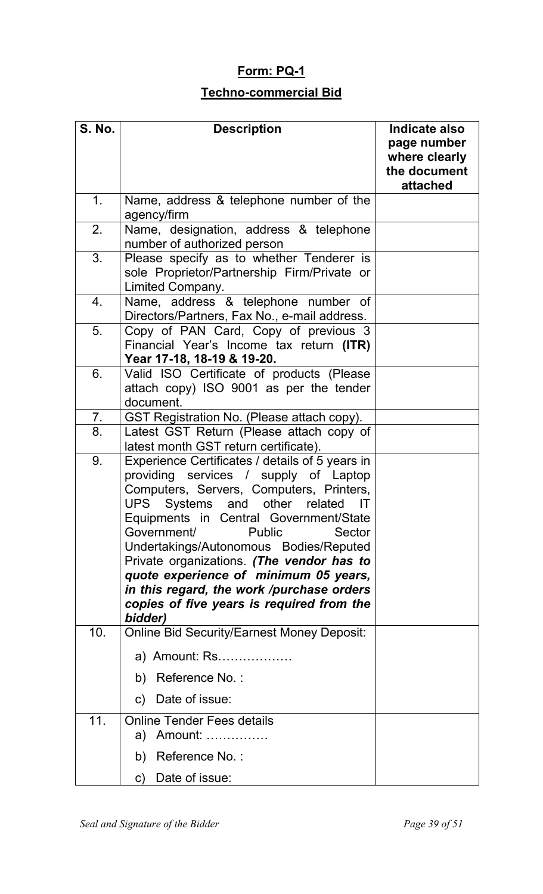# **Form: PQ-1**

# **Techno-commercial Bid**

| <b>S. No.</b> | <b>Description</b>                                                                                                                                                                                                                                                                                                                                                                                                                                                                                   | Indicate also<br>page number<br>where clearly<br>the document<br>attached |
|---------------|------------------------------------------------------------------------------------------------------------------------------------------------------------------------------------------------------------------------------------------------------------------------------------------------------------------------------------------------------------------------------------------------------------------------------------------------------------------------------------------------------|---------------------------------------------------------------------------|
| 1.            | Name, address & telephone number of the<br>agency/firm                                                                                                                                                                                                                                                                                                                                                                                                                                               |                                                                           |
| 2.            | Name, designation, address & telephone<br>number of authorized person                                                                                                                                                                                                                                                                                                                                                                                                                                |                                                                           |
| 3.            | Please specify as to whether Tenderer is<br>sole Proprietor/Partnership Firm/Private or<br>Limited Company.                                                                                                                                                                                                                                                                                                                                                                                          |                                                                           |
| 4.            | Name, address & telephone number of<br>Directors/Partners, Fax No., e-mail address.                                                                                                                                                                                                                                                                                                                                                                                                                  |                                                                           |
| 5.            | Copy of PAN Card, Copy of previous 3<br>Financial Year's Income tax return (ITR)<br>Year 17-18, 18-19 & 19-20.                                                                                                                                                                                                                                                                                                                                                                                       |                                                                           |
| 6.            | Valid ISO Certificate of products (Please<br>attach copy) ISO 9001 as per the tender<br>document.                                                                                                                                                                                                                                                                                                                                                                                                    |                                                                           |
| 7.            | GST Registration No. (Please attach copy).                                                                                                                                                                                                                                                                                                                                                                                                                                                           |                                                                           |
| 8.            | Latest GST Return (Please attach copy of<br>latest month GST return certificate).                                                                                                                                                                                                                                                                                                                                                                                                                    |                                                                           |
| 9.            | Experience Certificates / details of 5 years in<br>providing services / supply of Laptop<br>Computers, Servers, Computers, Printers,<br>UPS Systems and other related<br>IT<br>Equipments in Central Government/State<br>Government/<br><b>Public</b><br>Sector<br>Undertakings/Autonomous Bodies/Reputed<br>Private organizations. (The vendor has to<br>quote experience of minimum 05 years,<br>in this regard, the work /purchase orders<br>copies of five years is required from the<br>bidder) |                                                                           |
| 10.           | <b>Online Bid Security/Earnest Money Deposit:</b>                                                                                                                                                                                                                                                                                                                                                                                                                                                    |                                                                           |
|               | a) Amount: Rs                                                                                                                                                                                                                                                                                                                                                                                                                                                                                        |                                                                           |
|               | Reference No.:<br>b)                                                                                                                                                                                                                                                                                                                                                                                                                                                                                 |                                                                           |
|               | Date of issue:<br>$\mathsf{C}$                                                                                                                                                                                                                                                                                                                                                                                                                                                                       |                                                                           |
| 11.           | <b>Online Tender Fees details</b><br>a) Amount:                                                                                                                                                                                                                                                                                                                                                                                                                                                      |                                                                           |
|               | Reference No.:<br>b)                                                                                                                                                                                                                                                                                                                                                                                                                                                                                 |                                                                           |
|               | Date of issue:<br>C)                                                                                                                                                                                                                                                                                                                                                                                                                                                                                 |                                                                           |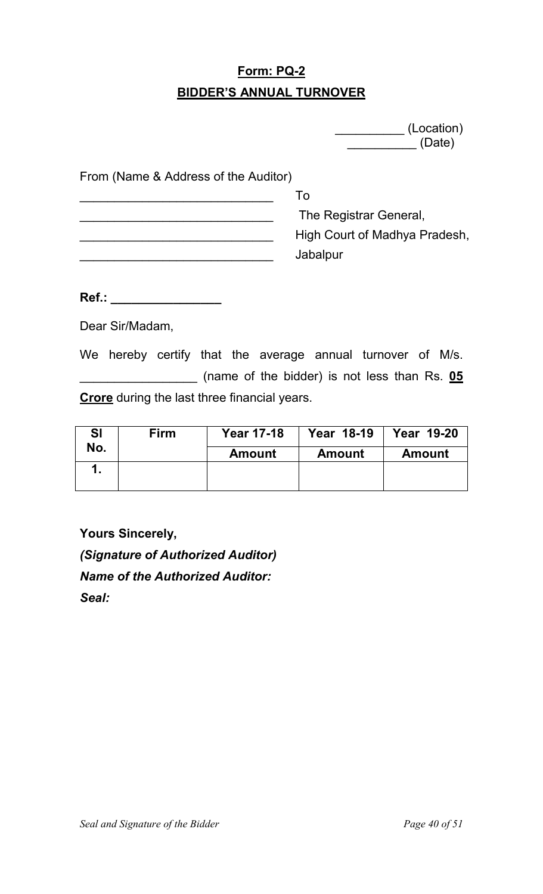# **Form: PQ-2 BIDDER'S ANNUAL TURNOVER**

| (Location) |
|------------|
| (Date)     |

From (Name & Address of the Auditor)

| I O                           |
|-------------------------------|
| The Registrar General,        |
| High Court of Madhya Pradesh, |
| Jabalpur                      |

**Ref.: \_\_\_\_\_\_\_\_\_\_\_\_\_\_\_\_** 

Dear Sir/Madam,

We hereby certify that the average annual turnover of M/s. \_\_\_\_\_\_\_\_\_\_\_\_\_\_\_\_\_ (name of the bidder) is not less than Rs. **05 Crore** during the last three financial years.

| SI  | <b>Firm</b> | <b>Year 17-18</b> | <b>Year 18-19</b> | <b>Year 19-20</b> |
|-----|-------------|-------------------|-------------------|-------------------|
| No. |             | <b>Amount</b>     | <b>Amount</b>     | <b>Amount</b>     |
|     |             |                   |                   |                   |
|     |             |                   |                   |                   |

**Yours Sincerely,**  *(Signature of Authorized Auditor) Name of the Authorized Auditor: Seal:*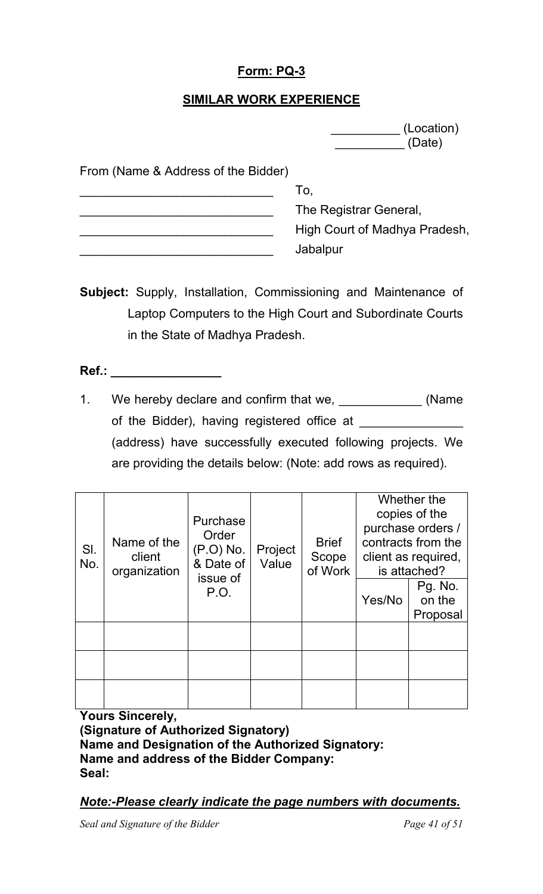### **Form: PQ-3**

#### **SIMILAR WORK EXPERIENCE**

 \_\_\_\_\_\_\_\_\_\_ (Location) \_\_\_\_\_\_\_\_\_\_ (Date)

From (Name & Address of the Bidder)

| To.                           |
|-------------------------------|
| The Registrar General,        |
| High Court of Madhya Pradesh, |
| Jabalpur                      |

- **Subject:** Supply, Installation, Commissioning and Maintenance of Laptop Computers to the High Court and Subordinate Courts in the State of Madhya Pradesh.
- **Ref.: \_\_\_\_\_\_\_\_\_\_\_\_\_\_\_\_**
- 1. We hereby declare and confirm that we, \_\_\_\_\_\_\_\_\_\_\_\_\_\_ (Name of the Bidder), having registered office at (address) have successfully executed following projects. We are providing the details below: (Note: add rows as required).

| SI.<br>No. | Name of the<br>client<br>organization | Purchase<br>Order<br>(P.O) No.<br>& Date of | Project<br>Value | <b>Brief</b><br>Scope<br>of Work |        | Whether the<br>copies of the<br>purchase orders /<br>contracts from the<br>client as required,<br>is attached? |
|------------|---------------------------------------|---------------------------------------------|------------------|----------------------------------|--------|----------------------------------------------------------------------------------------------------------------|
|            |                                       | issue of<br>P.O.                            |                  |                                  | Yes/No | Pg. No.<br>on the<br>Proposal                                                                                  |
|            |                                       |                                             |                  |                                  |        |                                                                                                                |
|            |                                       |                                             |                  |                                  |        |                                                                                                                |
|            |                                       |                                             |                  |                                  |        |                                                                                                                |

**Yours Sincerely, (Signature of Authorized Signatory) Name and Designation of the Authorized Signatory: Name and address of the Bidder Company: Seal:** 

*Note:-Please clearly indicate the page numbers with documents.*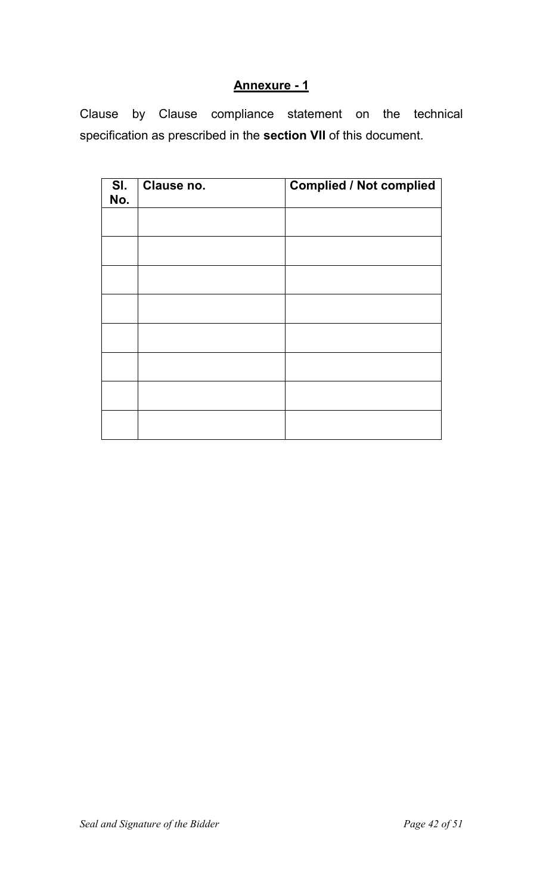# **Annexure - 1**

Clause by Clause compliance statement on the technical specification as prescribed in the **section VII** of this document.

| SI.<br>No. | Clause no. | <b>Complied / Not complied</b> |
|------------|------------|--------------------------------|
|            |            |                                |
|            |            |                                |
|            |            |                                |
|            |            |                                |
|            |            |                                |
|            |            |                                |
|            |            |                                |
|            |            |                                |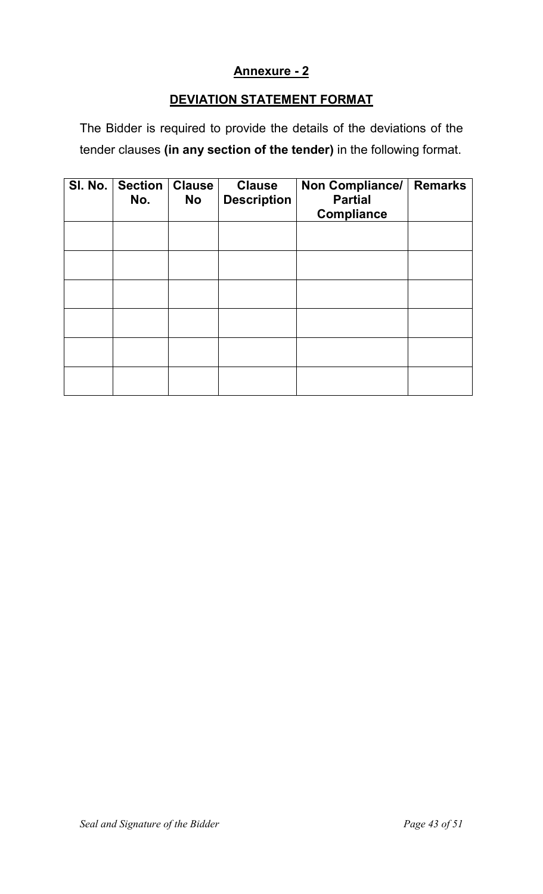#### **Annexure - 2**

### **DEVIATION STATEMENT FORMAT**

The Bidder is required to provide the details of the deviations of the tender clauses **(in any section of the tender)** in the following format.

| SI. No. | <b>Section</b><br>No. | <b>Clause</b><br><b>No</b> | <b>Clause</b><br><b>Description</b> | Non Compliance/<br><b>Partial</b><br><b>Compliance</b> | <b>Remarks</b> |
|---------|-----------------------|----------------------------|-------------------------------------|--------------------------------------------------------|----------------|
|         |                       |                            |                                     |                                                        |                |
|         |                       |                            |                                     |                                                        |                |
|         |                       |                            |                                     |                                                        |                |
|         |                       |                            |                                     |                                                        |                |
|         |                       |                            |                                     |                                                        |                |
|         |                       |                            |                                     |                                                        |                |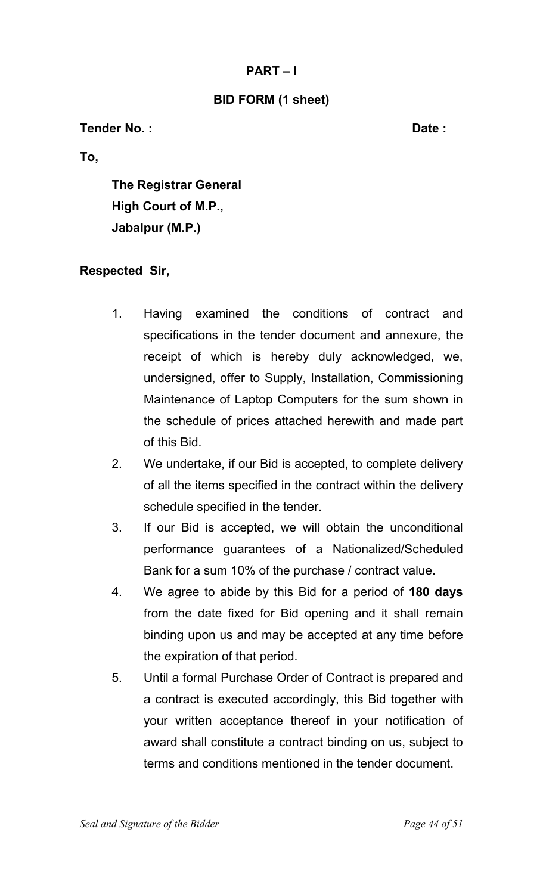#### **PART – I**

#### **BID FORM (1 sheet)**

**Tender No. : Date : Date :** 

**To,** 

**The Registrar General High Court of M.P., Jabalpur (M.P.)** 

#### **Respected Sir,**

- 1. Having examined the conditions of contract and specifications in the tender document and annexure, the receipt of which is hereby duly acknowledged, we, undersigned, offer to Supply, Installation, Commissioning Maintenance of Laptop Computers for the sum shown in the schedule of prices attached herewith and made part of this Bid.
- 2. We undertake, if our Bid is accepted, to complete delivery of all the items specified in the contract within the delivery schedule specified in the tender.
- 3. If our Bid is accepted, we will obtain the unconditional performance guarantees of a Nationalized/Scheduled Bank for a sum 10% of the purchase / contract value.
- 4. We agree to abide by this Bid for a period of **180 days** from the date fixed for Bid opening and it shall remain binding upon us and may be accepted at any time before the expiration of that period.
- 5. Until a formal Purchase Order of Contract is prepared and a contract is executed accordingly, this Bid together with your written acceptance thereof in your notification of award shall constitute a contract binding on us, subject to terms and conditions mentioned in the tender document.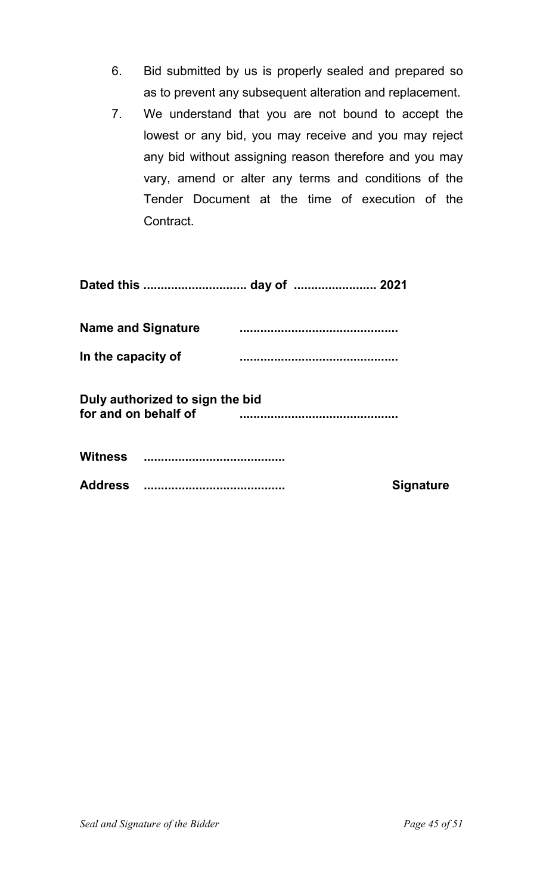- 6. Bid submitted by us is properly sealed and prepared so as to prevent any subsequent alteration and replacement.
- 7. We understand that you are not bound to accept the lowest or any bid, you may receive and you may reject any bid without assigning reason therefore and you may vary, amend or alter any terms and conditions of the Tender Document at the time of execution of the Contract.

|                      | <b>Name and Signature</b>       |                  |
|----------------------|---------------------------------|------------------|
| In the capacity of   |                                 |                  |
| for and on behalf of | Duly authorized to sign the bid |                  |
|                      |                                 |                  |
|                      |                                 | <b>Signature</b> |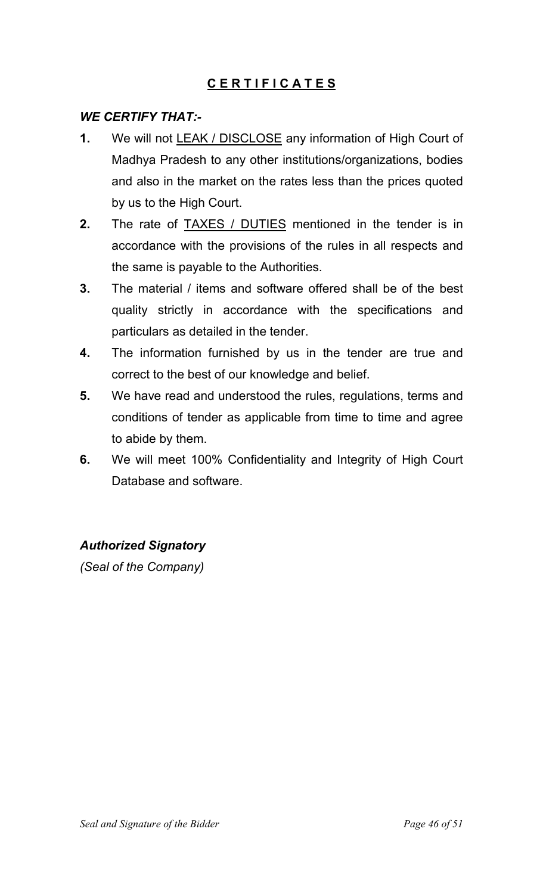# **C E R T I F I C A T E S**

### *WE CERTIFY THAT:-*

- **1.** We will not LEAK / DISCLOSE any information of High Court of Madhya Pradesh to any other institutions/organizations, bodies and also in the market on the rates less than the prices quoted by us to the High Court.
- **2.** The rate of TAXES / DUTIES mentioned in the tender is in accordance with the provisions of the rules in all respects and the same is payable to the Authorities.
- **3.** The material / items and software offered shall be of the best quality strictly in accordance with the specifications and particulars as detailed in the tender.
- **4.** The information furnished by us in the tender are true and correct to the best of our knowledge and belief.
- **5.** We have read and understood the rules, regulations, terms and conditions of tender as applicable from time to time and agree to abide by them.
- **6.** We will meet 100% Confidentiality and Integrity of High Court Database and software.

#### *Authorized Signatory*

*(Seal of the Company)*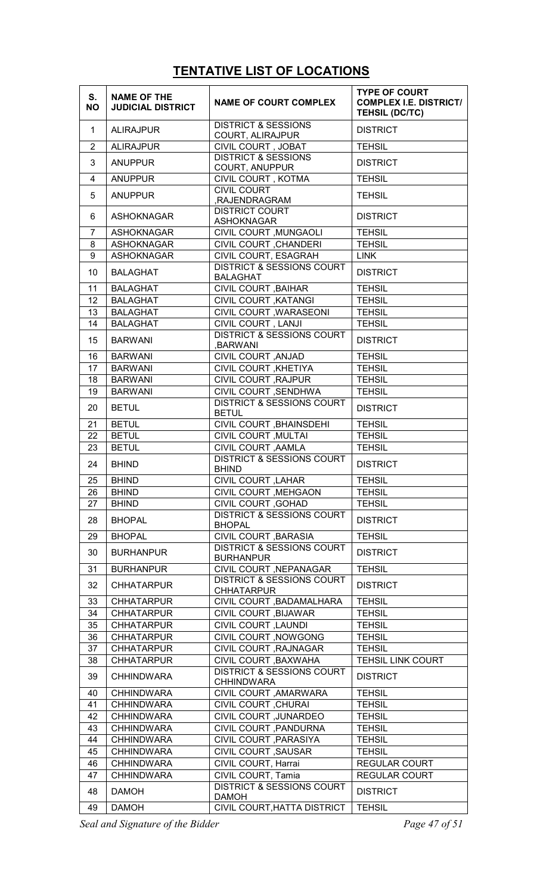# **TENTATIVE LIST OF LOCATIONS**

| S.<br><b>NO</b> | <b>NAME OF THE</b><br><b>JUDICIAL DISTRICT</b> | <b>NAME OF COURT COMPLEX</b>                                  | <b>TYPE OF COURT</b><br><b>COMPLEX I.E. DISTRICT/</b><br><b>TEHSIL (DC/TC)</b> |
|-----------------|------------------------------------------------|---------------------------------------------------------------|--------------------------------------------------------------------------------|
| $\mathbf{1}$    | <b>ALIRAJPUR</b>                               | <b>DISTRICT &amp; SESSIONS</b><br>COURT, ALIRAJPUR            | <b>DISTRICT</b>                                                                |
| 2               | <b>ALIRAJPUR</b>                               | CIVIL COURT, JOBAT                                            | <b>TEHSIL</b>                                                                  |
| 3               | <b>ANUPPUR</b>                                 | <b>DISTRICT &amp; SESSIONS</b><br>COURT, ANUPPUR              | <b>DISTRICT</b>                                                                |
| 4               | <b>ANUPPUR</b>                                 | CIVIL COURT, KOTMA                                            | <b>TEHSIL</b>                                                                  |
| 5               | <b>ANUPPUR</b>                                 | <b>CIVIL COURT</b><br>,RAJENDRAGRAM                           | <b>TEHSIL</b>                                                                  |
| 6               | <b>ASHOKNAGAR</b>                              | <b>DISTRICT COURT</b><br><b>ASHOKNAGAR</b>                    | <b>DISTRICT</b>                                                                |
| $\overline{7}$  | <b>ASHOKNAGAR</b>                              | CIVIL COURT, MUNGAOLI                                         | <b>TEHSIL</b>                                                                  |
| 8               | <b>ASHOKNAGAR</b>                              | <b>CIVIL COURT, CHANDERI</b>                                  | <b>TEHSIL</b>                                                                  |
| 9               | <b>ASHOKNAGAR</b>                              | CIVIL COURT, ESAGRAH                                          | <b>LINK</b>                                                                    |
| 10              | <b>BALAGHAT</b>                                | <b>DISTRICT &amp; SESSIONS COURT</b><br><b>BALAGHAT</b>       | <b>DISTRICT</b>                                                                |
| 11              | <b>BALAGHAT</b>                                | CIVIL COURT, BAIHAR                                           | <b>TEHSIL</b>                                                                  |
| 12 <sub>2</sub> | <b>BALAGHAT</b>                                | <b>CIVIL COURT , KATANGI</b>                                  | <b>TEHSIL</b>                                                                  |
| 13              | <b>BALAGHAT</b>                                | CIVIL COURT , WARASEONI                                       | <b>TEHSIL</b>                                                                  |
| 14              | <b>BALAGHAT</b>                                | CIVIL COURT, LANJI                                            | <b>TEHSIL</b>                                                                  |
| 15              | <b>BARWANI</b>                                 | <b>DISTRICT &amp; SESSIONS COURT</b><br>,BARWANI              | <b>DISTRICT</b>                                                                |
| 16              | <b>BARWANI</b>                                 | CIVIL COURT, ANJAD                                            | <b>TEHSIL</b>                                                                  |
| 17              | <b>BARWANI</b>                                 | CIVIL COURT, KHETIYA                                          | <b>TEHSIL</b>                                                                  |
| 18              | <b>BARWANI</b>                                 | CIVIL COURT, RAJPUR                                           | <b>TEHSIL</b>                                                                  |
| 19              | <b>BARWANI</b>                                 | CIVIL COURT, SENDHWA                                          | <b>TEHSIL</b>                                                                  |
| 20              | <b>BETUL</b>                                   | <b>DISTRICT &amp; SESSIONS COURT</b><br><b>BETUL</b>          | <b>DISTRICT</b>                                                                |
| 21              | <b>BETUL</b>                                   | CIVIL COURT, BHAINSDEHI                                       | <b>TEHSIL</b>                                                                  |
| 22              | <b>BETUL</b>                                   | <b>CIVIL COURT , MULTAI</b>                                   | <b>TEHSIL</b>                                                                  |
| 23              | <b>BETUL</b>                                   | CIVIL COURT , AAMLA                                           | <b>TEHSIL</b>                                                                  |
| 24              | <b>BHIND</b>                                   | <b>DISTRICT &amp; SESSIONS COURT</b><br><b>BHIND</b>          | <b>DISTRICT</b>                                                                |
| 25              | <b>BHIND</b>                                   | <b>CIVIL COURT, LAHAR</b>                                     | <b>TEHSIL</b>                                                                  |
| 26              | <b>BHIND</b>                                   | CIVIL COURT, MEHGAON                                          | <b>TEHSIL</b>                                                                  |
| 27              | <b>BHIND</b>                                   | CIVIL COURT , GOHAD                                           | <b>TEHSIL</b>                                                                  |
|                 |                                                | <b>DISTRICT &amp; SESSIONS COURT</b>                          |                                                                                |
| 28              | <b>BHOPAL</b>                                  | <b>BHOPAL</b>                                                 | <b>DISTRICT</b>                                                                |
| 29              | <b>BHOPAL</b>                                  | CIVIL COURT , BARASIA<br><b>DISTRICT &amp; SESSIONS COURT</b> | <b>TEHSIL</b>                                                                  |
| 30              | <b>BURHANPUR</b>                               | <b>BURHANPUR</b>                                              | <b>DISTRICT</b>                                                                |
| 31              | <b>BURHANPUR</b>                               | CIVIL COURT, NEPANAGAR                                        | <b>TEHSIL</b>                                                                  |
| 32              | <b>CHHATARPUR</b>                              | <b>DISTRICT &amp; SESSIONS COURT</b><br><b>CHHATARPUR</b>     | <b>DISTRICT</b>                                                                |
| 33              | <b>CHHATARPUR</b>                              | CIVIL COURT, BADAMALHARA                                      | <b>TEHSIL</b>                                                                  |
| 34              | <b>CHHATARPUR</b>                              | CIVIL COURT, BIJAWAR                                          | <b>TEHSIL</b>                                                                  |
| 35              | <b>CHHATARPUR</b>                              | CIVIL COURT, LAUNDI                                           | <b>TEHSIL</b>                                                                  |
| 36              | <b>CHHATARPUR</b>                              | CIVIL COURT, NOWGONG                                          | <b>TEHSIL</b>                                                                  |
| 37              | <b>CHHATARPUR</b>                              | CIVIL COURT, RAJNAGAR                                         | <b>TEHSIL</b>                                                                  |
| 38              | <b>CHHATARPUR</b>                              | CIVIL COURT , BAXWAHA                                         | <b>TEHSIL LINK COURT</b>                                                       |
| 39              | <b>CHHINDWARA</b>                              | <b>DISTRICT &amp; SESSIONS COURT</b><br><b>CHHINDWARA</b>     | <b>DISTRICT</b>                                                                |
| 40              | <b>CHHINDWARA</b>                              | CIVIL COURT, AMARWARA                                         | <b>TEHSIL</b>                                                                  |
| 41              | <b>CHHINDWARA</b>                              | CIVIL COURT, CHURAI                                           | <b>TEHSIL</b>                                                                  |
| 42              | <b>CHHINDWARA</b>                              | <b>CIVIL COURT , JUNARDEO</b>                                 | <b>TEHSIL</b>                                                                  |
| 43              | <b>CHHINDWARA</b>                              | CIVIL COURT , PANDURNA                                        | <b>TEHSIL</b>                                                                  |
| 44              | <b>CHHINDWARA</b>                              | CIVIL COURT, PARASIYA                                         | <b>TEHSIL</b>                                                                  |
| 45              | <b>CHHINDWARA</b>                              | CIVIL COURT, SAUSAR                                           | <b>TEHSIL</b>                                                                  |
| 46              | <b>CHHINDWARA</b>                              | CIVIL COURT, Harrai                                           | <b>REGULAR COURT</b>                                                           |
| 47              | <b>CHHINDWARA</b>                              | CIVIL COURT, Tamia                                            | <b>REGULAR COURT</b>                                                           |
| 48              | <b>DAMOH</b>                                   | <b>DISTRICT &amp; SESSIONS COURT</b><br><b>DAMOH</b>          | <b>DISTRICT</b>                                                                |
| 49              | <b>DAMOH</b>                                   | CIVIL COURT, HATTA DISTRICT                                   | <b>TEHSIL</b>                                                                  |

*Seal and Signature of the Bidder Page 47 of 51*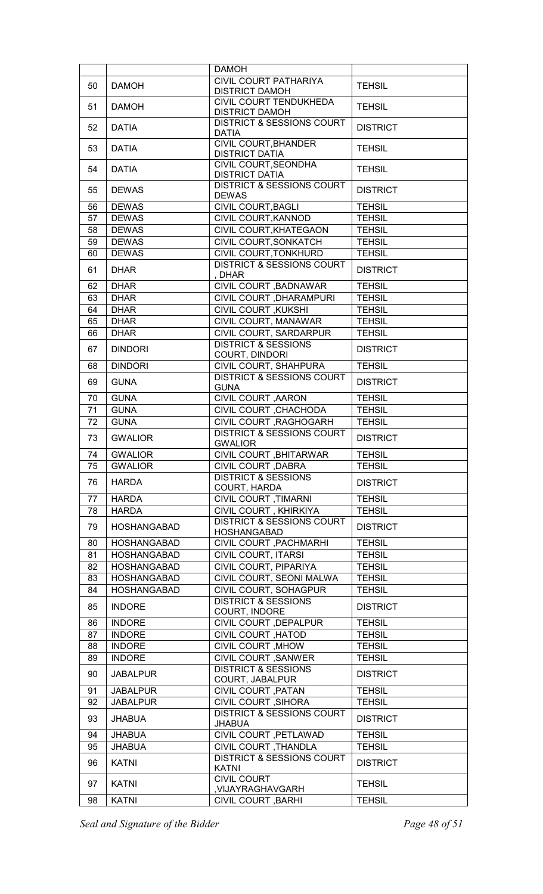|          |                                | <b>DAMOH</b>                                             |                                |
|----------|--------------------------------|----------------------------------------------------------|--------------------------------|
| 50       | <b>DAMOH</b>                   | <b>CIVIL COURT PATHARIYA</b>                             | <b>TEHSIL</b>                  |
|          |                                | <b>DISTRICT DAMOH</b><br><b>CIVIL COURT TENDUKHEDA</b>   |                                |
| 51       | <b>DAMOH</b>                   | <b>DISTRICT DAMOH</b>                                    | <b>TEHSIL</b>                  |
| 52       | <b>DATIA</b>                   | <b>DISTRICT &amp; SESSIONS COURT</b>                     | <b>DISTRICT</b>                |
|          |                                | <b>DATIA</b>                                             |                                |
| 53       | <b>DATIA</b>                   | CIVIL COURT, BHANDER<br><b>DISTRICT DATIA</b>            | <b>TEHSIL</b>                  |
|          |                                | CIVIL COURT, SEONDHA                                     |                                |
| 54       | <b>DATIA</b>                   | <b>DISTRICT DATIA</b>                                    | <b>TEHSIL</b>                  |
| 55       | <b>DEWAS</b>                   | <b>DISTRICT &amp; SESSIONS COURT</b><br><b>DEWAS</b>     | <b>DISTRICT</b>                |
| 56       | <b>DEWAS</b>                   | CIVIL COURT, BAGLI                                       | <b>TEHSIL</b>                  |
| 57       | <b>DEWAS</b>                   | CIVIL COURT, KANNOD                                      | <b>TEHSIL</b>                  |
| 58       | <b>DEWAS</b>                   | CIVIL COURT, KHATEGAON                                   | <b>TEHSIL</b>                  |
| 59       | <b>DEWAS</b>                   | CIVIL COURT, SONKATCH                                    | <b>TEHSIL</b>                  |
| 60       | <b>DEWAS</b>                   | CIVIL COURT, TONKHURD                                    | <b>TEHSIL</b>                  |
| 61       | <b>DHAR</b>                    | <b>DISTRICT &amp; SESSIONS COURT</b>                     | <b>DISTRICT</b>                |
|          |                                | , DHAR                                                   |                                |
| 62       | <b>DHAR</b>                    | CIVIL COURT , BADNAWAR                                   | <b>TEHSIL</b>                  |
| 63       | <b>DHAR</b>                    | CIVIL COURT , DHARAMPURI                                 | <b>TEHSIL</b>                  |
| 64       | <b>DHAR</b>                    | <b>CIVIL COURT, KUKSHI</b>                               | <b>TEHSIL</b>                  |
| 65       | <b>DHAR</b>                    | CIVIL COURT, MANAWAR                                     | <b>TEHSIL</b>                  |
| 66       | <b>DHAR</b>                    | CIVIL COURT, SARDARPUR<br><b>DISTRICT &amp; SESSIONS</b> | <b>TEHSIL</b>                  |
| 67       | <b>DINDORI</b>                 | COURT, DINDORI                                           | <b>DISTRICT</b>                |
| 68       | <b>DINDORI</b>                 | CIVIL COURT, SHAHPURA                                    | <b>TEHSIL</b>                  |
| 69       | <b>GUNA</b>                    | <b>DISTRICT &amp; SESSIONS COURT</b>                     | <b>DISTRICT</b>                |
|          |                                | <b>GUNA</b>                                              |                                |
| 70       | <b>GUNA</b>                    | CIVIL COURT, AARON                                       | <b>TEHSIL</b>                  |
| 71       | <b>GUNA</b>                    | CIVIL COURT, CHACHODA                                    | <b>TEHSIL</b>                  |
| 72       | <b>GUNA</b>                    | CIVIL COURT, RAGHOGARH                                   | <b>TEHSIL</b>                  |
| 73       | <b>GWALIOR</b>                 | <b>DISTRICT &amp; SESSIONS COURT</b><br><b>GWALIOR</b>   | <b>DISTRICT</b>                |
| 74       | <b>GWALIOR</b>                 | CIVIL COURT, BHITARWAR                                   | <b>TEHSIL</b>                  |
| 75       | <b>GWALIOR</b>                 | CIVIL COURT, DABRA                                       | <b>TEHSIL</b>                  |
| 76       | <b>HARDA</b>                   | <b>DISTRICT &amp; SESSIONS</b>                           | <b>DISTRICT</b>                |
| 77       | <b>HARDA</b>                   | COURT, HARDA<br><b>CIVIL COURT, TIMARNI</b>              | <b>TEHSIL</b>                  |
| 78       | <b>HARDA</b>                   | CIVIL COURT, KHIRKIYA                                    | <b>TEHSIL</b>                  |
|          |                                | <b>DISTRICT &amp; SESSIONS COURT</b>                     |                                |
| 79       | <b>HOSHANGABAD</b>             | <b>HOSHANGABAD</b>                                       | <b>DISTRICT</b>                |
| 80       | <b>HOSHANGABAD</b>             | <b>CIVIL COURT , PACHMARHI</b>                           | <b>TEHSIL</b>                  |
| 81       | <b>HOSHANGABAD</b>             | CIVIL COURT, ITARSI                                      | <b>TEHSIL</b>                  |
| 82       | <b>HOSHANGABAD</b>             | CIVIL COURT, PIPARIYA                                    | <b>TEHSIL</b>                  |
| 83       | <b>HOSHANGABAD</b>             | CIVIL COURT, SEONI MALWA                                 | <b>TEHSIL</b>                  |
| 84       | <b>HOSHANGABAD</b>             | CIVIL COURT, SOHAGPUR                                    | <b>TEHSIL</b>                  |
| 85       | <b>INDORE</b>                  | <b>DISTRICT &amp; SESSIONS</b>                           | <b>DISTRICT</b>                |
|          | <b>INDORE</b>                  | COURT, INDORE                                            | <b>TEHSIL</b>                  |
| 86<br>87 | <b>INDORE</b>                  | CIVIL COURT, DEPALPUR<br>CIVIL COURT, HATOD              | <b>TEHSIL</b>                  |
|          |                                |                                                          |                                |
| 88<br>89 | <b>INDORE</b><br><b>INDORE</b> | CIVIL COURT, MHOW<br><b>CIVIL COURT , SANWER</b>         | <b>TEHSIL</b><br><b>TEHSIL</b> |
|          |                                | <b>DISTRICT &amp; SESSIONS</b>                           |                                |
| 90       | <b>JABALPUR</b>                | COURT, JABALPUR                                          | <b>DISTRICT</b>                |
| 91       | <b>JABALPUR</b>                | CIVIL COURT, PATAN                                       | <b>TEHSIL</b>                  |
| 92       | <b>JABALPUR</b>                | CIVIL COURT, SIHORA                                      | <b>TEHSIL</b>                  |
| 93       | <b>JHABUA</b>                  | <b>DISTRICT &amp; SESSIONS COURT</b><br><b>JHABUA</b>    | <b>DISTRICT</b>                |
| 94       | <b>JHABUA</b>                  | CIVIL COURT, PETLAWAD                                    | <b>TEHSIL</b>                  |
| 95       | <b>JHABUA</b>                  | CIVIL COURT, THANDLA                                     | <b>TEHSIL</b>                  |
| 96       | <b>KATNI</b>                   | <b>DISTRICT &amp; SESSIONS COURT</b>                     | <b>DISTRICT</b>                |
|          |                                | <b>KATNI</b>                                             |                                |
| 97       | <b>KATNI</b>                   | <b>CIVIL COURT</b><br>,VIJAYRAGHAVGARH                   | <b>TEHSIL</b>                  |
| 98       | <b>KATNI</b>                   | <b>CIVIL COURT , BARHI</b>                               | <b>TEHSIL</b>                  |

*Seal and Signature of the Bidder Page 48 of 51*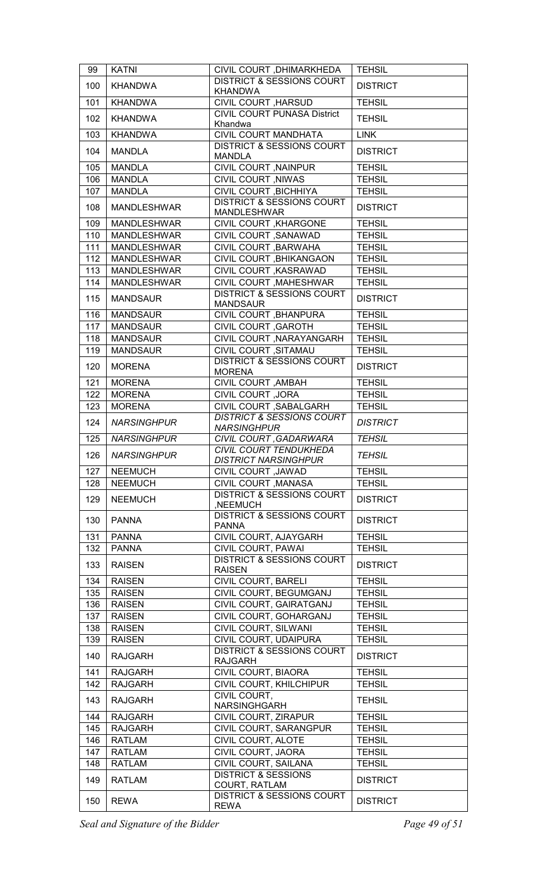| 99  | <b>KATNI</b>       | CIVIL COURT , DHIMARKHEDA                                  | <b>TEHSIL</b>   |
|-----|--------------------|------------------------------------------------------------|-----------------|
| 100 | <b>KHANDWA</b>     | <b>DISTRICT &amp; SESSIONS COURT</b><br><b>KHANDWA</b>     | <b>DISTRICT</b> |
| 101 | <b>KHANDWA</b>     | CIVIL COURT, HARSUD                                        | <b>TEHSIL</b>   |
| 102 | <b>KHANDWA</b>     | CIVIL COURT PUNASA District<br>Khandwa                     | <b>TEHSIL</b>   |
| 103 | <b>KHANDWA</b>     | CIVIL COURT MANDHATA                                       | <b>LINK</b>     |
| 104 | <b>MANDLA</b>      | <b>DISTRICT &amp; SESSIONS COURT</b><br><b>MANDLA</b>      | <b>DISTRICT</b> |
| 105 | <b>MANDLA</b>      | CIVIL COURT , NAINPUR                                      | <b>TEHSIL</b>   |
| 106 | <b>MANDLA</b>      | CIVIL COURT, NIWAS                                         | <b>TEHSIL</b>   |
| 107 | <b>MANDLA</b>      | CIVIL COURT , BICHHIYA                                     | <b>TEHSIL</b>   |
| 108 | <b>MANDLESHWAR</b> | <b>DISTRICT &amp; SESSIONS COURT</b><br><b>MANDLESHWAR</b> | <b>DISTRICT</b> |
| 109 | <b>MANDLESHWAR</b> | CIVIL COURT, KHARGONE                                      | <b>TEHSIL</b>   |
| 110 | <b>MANDLESHWAR</b> | CIVIL COURT, SANAWAD                                       | <b>TEHSIL</b>   |
| 111 | <b>MANDLESHWAR</b> | CIVIL COURT, BARWAHA                                       | <b>TEHSIL</b>   |
| 112 | <b>MANDLESHWAR</b> | CIVIL COURT , BHIKANGAON                                   | <b>TEHSIL</b>   |
| 113 | <b>MANDLESHWAR</b> | CIVIL COURT , KASRAWAD                                     | <b>TEHSIL</b>   |
| 114 | <b>MANDLESHWAR</b> | CIVIL COURT , MAHESHWAR                                    | <b>TEHSIL</b>   |
| 115 | <b>MANDSAUR</b>    | <b>DISTRICT &amp; SESSIONS COURT</b><br><b>MANDSAUR</b>    | <b>DISTRICT</b> |
| 116 | <b>MANDSAUR</b>    | CIVIL COURT, BHANPURA                                      | <b>TEHSIL</b>   |
| 117 | <b>MANDSAUR</b>    | CIVIL COURT, GAROTH                                        | <b>TEHSIL</b>   |
| 118 | <b>MANDSAUR</b>    | CIVIL COURT , NARAYANGARH                                  | <b>TEHSIL</b>   |
| 119 | <b>MANDSAUR</b>    | CIVIL COURT, SITAMAU                                       | <b>TEHSIL</b>   |
| 120 | <b>MORENA</b>      | <b>DISTRICT &amp; SESSIONS COURT</b><br><b>MORENA</b>      | <b>DISTRICT</b> |
| 121 | <b>MORENA</b>      | CIVIL COURT, AMBAH                                         | <b>TEHSIL</b>   |
| 122 | <b>MORENA</b>      | <b>CIVIL COURT , JORA</b>                                  | <b>TEHSIL</b>   |
| 123 | <b>MORENA</b>      | CIVIL COURT, SABALGARH                                     | <b>TEHSIL</b>   |
| 124 | <b>NARSINGHPUR</b> | <b>DISTRICT &amp; SESSIONS COURT</b><br><b>NARSINGHPUR</b> | <b>DISTRICT</b> |
| 125 | <b>NARSINGHPUR</b> | CIVIL COURT, GADARWARA                                     | <b>TEHSIL</b>   |
| 126 | <b>NARSINGHPUR</b> | CIVIL COURT TENDUKHEDA<br><b>DISTRICT NARSINGHPUR</b>      | <b>TEHSIL</b>   |
| 127 | <b>NEEMUCH</b>     | CIVIL COURT , JAWAD                                        | <b>TEHSIL</b>   |
| 128 | <b>NEEMUCH</b>     | CIVIL COURT, MANASA                                        | <b>TEHSIL</b>   |
| 129 | <b>NEEMUCH</b>     | <b>DISTRICT &amp; SESSIONS COURT</b><br>,NEEMUCH           | <b>DISTRICT</b> |
| 130 | <b>PANNA</b>       | <b>DISTRICT &amp; SESSIONS COURT</b><br><b>PANNA</b>       | <b>DISTRICT</b> |
| 131 | <b>PANNA</b>       | CIVIL COURT, AJAYGARH                                      | <b>TEHSIL</b>   |
| 132 | <b>PANNA</b>       | CIVIL COURT, PAWAI                                         | <b>TEHSIL</b>   |
| 133 | <b>RAISEN</b>      | <b>DISTRICT &amp; SESSIONS COURT</b><br><b>RAISEN</b>      | <b>DISTRICT</b> |
| 134 | <b>RAISEN</b>      | CIVIL COURT, BARELI                                        | <b>TEHSIL</b>   |
| 135 | <b>RAISEN</b>      | CIVIL COURT, BEGUMGANJ                                     | <b>TEHSIL</b>   |
| 136 | <b>RAISEN</b>      | CIVIL COURT, GAIRATGANJ                                    | <b>TEHSIL</b>   |
| 137 | <b>RAISEN</b>      | CIVIL COURT, GOHARGANJ                                     | <b>TEHSIL</b>   |
| 138 | <b>RAISEN</b>      | CIVIL COURT, SILWANI                                       | <b>TEHSIL</b>   |
| 139 | <b>RAISEN</b>      | CIVIL COURT, UDAIPURA                                      | <b>TEHSIL</b>   |
| 140 | <b>RAJGARH</b>     | <b>DISTRICT &amp; SESSIONS COURT</b><br><b>RAJGARH</b>     | <b>DISTRICT</b> |
| 141 | <b>RAJGARH</b>     | CIVIL COURT, BIAORA                                        | <b>TEHSIL</b>   |
| 142 | <b>RAJGARH</b>     | CIVIL COURT, KHILCHIPUR                                    | <b>TEHSIL</b>   |
| 143 | <b>RAJGARH</b>     | CIVIL COURT,<br>NARSINGHGARH                               | <b>TEHSIL</b>   |
| 144 | <b>RAJGARH</b>     | CIVIL COURT, ZIRAPUR                                       | <b>TEHSIL</b>   |
| 145 | <b>RAJGARH</b>     | CIVIL COURT, SARANGPUR                                     | <b>TEHSIL</b>   |
| 146 | <b>RATLAM</b>      | CIVIL COURT, ALOTE                                         | <b>TEHSIL</b>   |
| 147 | <b>RATLAM</b>      | CIVIL COURT, JAORA                                         | <b>TEHSIL</b>   |
| 148 | <b>RATLAM</b>      | CIVIL COURT, SAILANA                                       | <b>TEHSIL</b>   |
| 149 | <b>RATLAM</b>      | <b>DISTRICT &amp; SESSIONS</b><br>COURT, RATLAM            | <b>DISTRICT</b> |
| 150 | <b>REWA</b>        | <b>DISTRICT &amp; SESSIONS COURT</b><br><b>REWA</b>        | <b>DISTRICT</b> |

*Seal and Signature of the Bidder Page 49 of 51*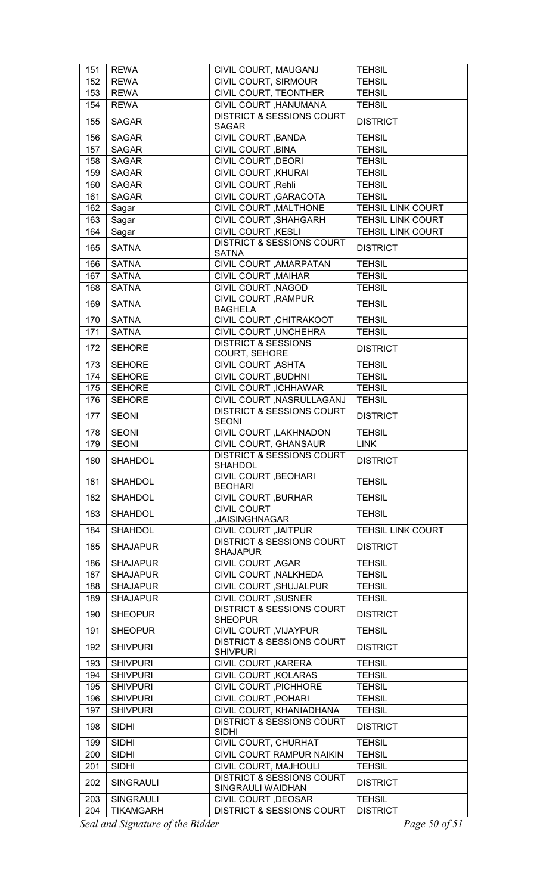| <b>REWA</b><br>CIVIL COURT, SIRMOUR<br><b>TEHSIL</b><br>152<br>CIVIL COURT, TEONTHER<br>153<br><b>REWA</b><br><b>TEHSIL</b><br>CIVIL COURT , HANUMANA<br><b>REWA</b><br><b>TEHSIL</b><br>154<br><b>DISTRICT &amp; SESSIONS COURT</b><br>155<br><b>SAGAR</b><br><b>DISTRICT</b><br><b>SAGAR</b><br>CIVIL COURT, BANDA<br>156<br><b>SAGAR</b><br><b>TEHSIL</b><br>157<br><b>SAGAR</b><br>CIVIL COURT, BINA<br><b>TEHSIL</b><br>158<br><b>CIVIL COURT , DEORI</b><br><b>SAGAR</b><br><b>TEHSIL</b><br><b>CIVIL COURT , KHURAI</b><br>159<br><b>SAGAR</b><br><b>TEHSIL</b><br>CIVIL COURT, Rehli<br>160<br><b>SAGAR</b><br><b>TEHSIL</b><br>CIVIL COURT, GARACOTA<br>161<br><b>SAGAR</b><br><b>TEHSIL</b><br>CIVIL COURT , MALTHONE<br>162<br><b>TEHSIL LINK COURT</b><br>Sagar<br>CIVIL COURT, SHAHGARH<br>163<br><b>TEHSIL LINK COURT</b><br>Sagar<br><b>CIVIL COURT , KESLI</b><br><b>TEHSIL LINK COURT</b><br>164<br>Sagar<br><b>DISTRICT &amp; SESSIONS COURT</b><br>165<br><b>SATNA</b><br><b>DISTRICT</b><br><b>SATNA</b><br><b>SATNA</b><br>CIVIL COURT , AMARPATAN<br>166<br><b>TEHSIL</b><br><b>CIVIL COURT , MAIHAR</b><br><b>TEHSIL</b><br>167<br><b>SATNA</b><br>CIVIL COURT , NAGOD<br>168<br><b>SATNA</b><br><b>TEHSIL</b><br>CIVIL COURT, RAMPUR<br>169<br><b>SATNA</b><br><b>TEHSIL</b><br><b>BAGHELA</b><br>170<br><b>SATNA</b><br>CIVIL COURT, CHITRAKOOT<br><b>TEHSIL</b><br>171<br>CIVIL COURT, UNCHEHRA<br><b>SATNA</b><br><b>TEHSIL</b><br><b>DISTRICT &amp; SESSIONS</b><br><b>SEHORE</b><br><b>DISTRICT</b><br>172<br>COURT, SEHORE<br>173<br><b>SEHORE</b><br><b>CIVIL COURT, ASHTA</b><br><b>TEHSIL</b><br>174<br><b>SEHORE</b><br>CIVIL COURT, BUDHNI<br><b>TEHSIL</b><br>CIVIL COURT, ICHHAWAR<br>175<br><b>SEHORE</b><br><b>TEHSIL</b><br>176<br><b>SEHORE</b><br>CIVIL COURT, NASRULLAGANJ<br><b>TEHSIL</b><br><b>DISTRICT &amp; SESSIONS COURT</b><br>177<br><b>SEONI</b><br><b>DISTRICT</b><br><b>SEONI</b><br>178<br><b>SEONI</b><br>CIVIL COURT , LAKHNADON<br><b>TEHSIL</b><br>179<br><b>SEONI</b><br>CIVIL COURT, GHANSAUR<br><b>LINK</b><br><b>DISTRICT &amp; SESSIONS COURT</b><br>180<br>SHAHDOL<br><b>DISTRICT</b><br><b>SHAHDOL</b><br><b>CIVIL COURT, BEOHARI</b><br>181<br><b>SHAHDOL</b><br><b>TEHSIL</b><br><b>BEOHARI</b><br><b>CIVIL COURT , BURHAR</b><br><b>SHAHDOL</b><br><b>TEHSIL</b><br>182<br><b>CIVIL COURT</b><br>183<br><b>SHAHDOL</b><br><b>TEHSIL</b><br>, JAISINGHNAGAR<br><b>SHAHDOL</b><br>CIVIL COURT, JAITPUR<br><b>TEHSIL LINK COURT</b><br>184<br><b>DISTRICT &amp; SESSIONS COURT</b><br>185<br><b>DISTRICT</b><br><b>SHAJAPUR</b><br><b>SHAJAPUR</b><br>CIVIL COURT, AGAR<br><b>TEHSIL</b><br>186<br><b>SHAJAPUR</b><br>CIVIL COURT, NALKHEDA<br>187<br><b>SHAJAPUR</b><br><b>TEHSIL</b><br>CIVIL COURT, SHUJALPUR<br>188<br><b>TEHSIL</b><br><b>SHAJAPUR</b><br><b>CIVIL COURT, SUSNER</b><br>189<br><b>SHAJAPUR</b><br><b>TEHSIL</b><br><b>DISTRICT &amp; SESSIONS COURT</b><br>190<br><b>SHEOPUR</b><br><b>DISTRICT</b><br><b>SHEOPUR</b><br>CIVIL COURT, VIJAYPUR<br><b>TEHSIL</b><br>191<br><b>SHEOPUR</b><br><b>DISTRICT &amp; SESSIONS COURT</b><br>192<br><b>SHIVPURI</b><br><b>DISTRICT</b><br><b>SHIVPURI</b><br>CIVIL COURT, KARERA<br>193<br><b>SHIVPURI</b><br><b>TEHSIL</b><br><b>SHIVPURI</b><br>CIVIL COURT, KOLARAS<br><b>TEHSIL</b><br>194<br>CIVIL COURT, PICHHORE<br>195<br><b>SHIVPURI</b><br><b>TEHSIL</b><br><b>CIVIL COURT , POHARI</b><br><b>SHIVPURI</b><br><b>TEHSIL</b><br>196<br>CIVIL COURT, KHANIADHANA<br>197<br><b>SHIVPURI</b><br><b>TEHSIL</b><br><b>DISTRICT &amp; SESSIONS COURT</b><br>198<br><b>SIDHI</b><br><b>DISTRICT</b><br><b>SIDHI</b><br><b>SIDHI</b><br>CIVIL COURT, CHURHAT<br><b>TEHSIL</b><br>199<br><b>SIDHI</b><br>CIVIL COURT RAMPUR NAIKIN<br><b>TEHSIL</b><br>200<br>CIVIL COURT, MAJHOULI<br>201<br><b>SIDHI</b><br><b>TEHSIL</b><br><b>DISTRICT &amp; SESSIONS COURT</b><br>202<br><b>SINGRAULI</b><br><b>DISTRICT</b><br>SINGRAULI WAIDHAN<br>203<br><b>SINGRAULI</b><br><b>TEHSIL</b><br>CIVIL COURT, DEOSAR<br>204<br><b>DISTRICT &amp; SESSIONS COURT</b><br><b>DISTRICT</b><br><b>TIKAMGARH</b> | 151 | <b>REWA</b> | CIVIL COURT, MAUGANJ | <b>TEHSIL</b> |
|--------------------------------------------------------------------------------------------------------------------------------------------------------------------------------------------------------------------------------------------------------------------------------------------------------------------------------------------------------------------------------------------------------------------------------------------------------------------------------------------------------------------------------------------------------------------------------------------------------------------------------------------------------------------------------------------------------------------------------------------------------------------------------------------------------------------------------------------------------------------------------------------------------------------------------------------------------------------------------------------------------------------------------------------------------------------------------------------------------------------------------------------------------------------------------------------------------------------------------------------------------------------------------------------------------------------------------------------------------------------------------------------------------------------------------------------------------------------------------------------------------------------------------------------------------------------------------------------------------------------------------------------------------------------------------------------------------------------------------------------------------------------------------------------------------------------------------------------------------------------------------------------------------------------------------------------------------------------------------------------------------------------------------------------------------------------------------------------------------------------------------------------------------------------------------------------------------------------------------------------------------------------------------------------------------------------------------------------------------------------------------------------------------------------------------------------------------------------------------------------------------------------------------------------------------------------------------------------------------------------------------------------------------------------------------------------------------------------------------------------------------------------------------------------------------------------------------------------------------------------------------------------------------------------------------------------------------------------------------------------------------------------------------------------------------------------------------------------------------------------------------------------------------------------------------------------------------------------------------------------------------------------------------------------------------------------------------------------------------------------------------------------------------------------------------------------------------------------------------------------------------------------------------------------------------------------------------------------------------------------------------------------------------------------------------------------------------------------------------------------------------------------------------------------------------------------------------------------------------------------------------------------------------------------------------------------------------------------------------------------------------------------------------------------------------------------------------------------------------------------------------|-----|-------------|----------------------|---------------|
|                                                                                                                                                                                                                                                                                                                                                                                                                                                                                                                                                                                                                                                                                                                                                                                                                                                                                                                                                                                                                                                                                                                                                                                                                                                                                                                                                                                                                                                                                                                                                                                                                                                                                                                                                                                                                                                                                                                                                                                                                                                                                                                                                                                                                                                                                                                                                                                                                                                                                                                                                                                                                                                                                                                                                                                                                                                                                                                                                                                                                                                                                                                                                                                                                                                                                                                                                                                                                                                                                                                                                                                                                                                                                                                                                                                                                                                                                                                                                                                                                                                                                                                                |     |             |                      |               |
|                                                                                                                                                                                                                                                                                                                                                                                                                                                                                                                                                                                                                                                                                                                                                                                                                                                                                                                                                                                                                                                                                                                                                                                                                                                                                                                                                                                                                                                                                                                                                                                                                                                                                                                                                                                                                                                                                                                                                                                                                                                                                                                                                                                                                                                                                                                                                                                                                                                                                                                                                                                                                                                                                                                                                                                                                                                                                                                                                                                                                                                                                                                                                                                                                                                                                                                                                                                                                                                                                                                                                                                                                                                                                                                                                                                                                                                                                                                                                                                                                                                                                                                                |     |             |                      |               |
|                                                                                                                                                                                                                                                                                                                                                                                                                                                                                                                                                                                                                                                                                                                                                                                                                                                                                                                                                                                                                                                                                                                                                                                                                                                                                                                                                                                                                                                                                                                                                                                                                                                                                                                                                                                                                                                                                                                                                                                                                                                                                                                                                                                                                                                                                                                                                                                                                                                                                                                                                                                                                                                                                                                                                                                                                                                                                                                                                                                                                                                                                                                                                                                                                                                                                                                                                                                                                                                                                                                                                                                                                                                                                                                                                                                                                                                                                                                                                                                                                                                                                                                                |     |             |                      |               |
|                                                                                                                                                                                                                                                                                                                                                                                                                                                                                                                                                                                                                                                                                                                                                                                                                                                                                                                                                                                                                                                                                                                                                                                                                                                                                                                                                                                                                                                                                                                                                                                                                                                                                                                                                                                                                                                                                                                                                                                                                                                                                                                                                                                                                                                                                                                                                                                                                                                                                                                                                                                                                                                                                                                                                                                                                                                                                                                                                                                                                                                                                                                                                                                                                                                                                                                                                                                                                                                                                                                                                                                                                                                                                                                                                                                                                                                                                                                                                                                                                                                                                                                                |     |             |                      |               |
|                                                                                                                                                                                                                                                                                                                                                                                                                                                                                                                                                                                                                                                                                                                                                                                                                                                                                                                                                                                                                                                                                                                                                                                                                                                                                                                                                                                                                                                                                                                                                                                                                                                                                                                                                                                                                                                                                                                                                                                                                                                                                                                                                                                                                                                                                                                                                                                                                                                                                                                                                                                                                                                                                                                                                                                                                                                                                                                                                                                                                                                                                                                                                                                                                                                                                                                                                                                                                                                                                                                                                                                                                                                                                                                                                                                                                                                                                                                                                                                                                                                                                                                                |     |             |                      |               |
|                                                                                                                                                                                                                                                                                                                                                                                                                                                                                                                                                                                                                                                                                                                                                                                                                                                                                                                                                                                                                                                                                                                                                                                                                                                                                                                                                                                                                                                                                                                                                                                                                                                                                                                                                                                                                                                                                                                                                                                                                                                                                                                                                                                                                                                                                                                                                                                                                                                                                                                                                                                                                                                                                                                                                                                                                                                                                                                                                                                                                                                                                                                                                                                                                                                                                                                                                                                                                                                                                                                                                                                                                                                                                                                                                                                                                                                                                                                                                                                                                                                                                                                                |     |             |                      |               |
|                                                                                                                                                                                                                                                                                                                                                                                                                                                                                                                                                                                                                                                                                                                                                                                                                                                                                                                                                                                                                                                                                                                                                                                                                                                                                                                                                                                                                                                                                                                                                                                                                                                                                                                                                                                                                                                                                                                                                                                                                                                                                                                                                                                                                                                                                                                                                                                                                                                                                                                                                                                                                                                                                                                                                                                                                                                                                                                                                                                                                                                                                                                                                                                                                                                                                                                                                                                                                                                                                                                                                                                                                                                                                                                                                                                                                                                                                                                                                                                                                                                                                                                                |     |             |                      |               |
|                                                                                                                                                                                                                                                                                                                                                                                                                                                                                                                                                                                                                                                                                                                                                                                                                                                                                                                                                                                                                                                                                                                                                                                                                                                                                                                                                                                                                                                                                                                                                                                                                                                                                                                                                                                                                                                                                                                                                                                                                                                                                                                                                                                                                                                                                                                                                                                                                                                                                                                                                                                                                                                                                                                                                                                                                                                                                                                                                                                                                                                                                                                                                                                                                                                                                                                                                                                                                                                                                                                                                                                                                                                                                                                                                                                                                                                                                                                                                                                                                                                                                                                                |     |             |                      |               |
|                                                                                                                                                                                                                                                                                                                                                                                                                                                                                                                                                                                                                                                                                                                                                                                                                                                                                                                                                                                                                                                                                                                                                                                                                                                                                                                                                                                                                                                                                                                                                                                                                                                                                                                                                                                                                                                                                                                                                                                                                                                                                                                                                                                                                                                                                                                                                                                                                                                                                                                                                                                                                                                                                                                                                                                                                                                                                                                                                                                                                                                                                                                                                                                                                                                                                                                                                                                                                                                                                                                                                                                                                                                                                                                                                                                                                                                                                                                                                                                                                                                                                                                                |     |             |                      |               |
|                                                                                                                                                                                                                                                                                                                                                                                                                                                                                                                                                                                                                                                                                                                                                                                                                                                                                                                                                                                                                                                                                                                                                                                                                                                                                                                                                                                                                                                                                                                                                                                                                                                                                                                                                                                                                                                                                                                                                                                                                                                                                                                                                                                                                                                                                                                                                                                                                                                                                                                                                                                                                                                                                                                                                                                                                                                                                                                                                                                                                                                                                                                                                                                                                                                                                                                                                                                                                                                                                                                                                                                                                                                                                                                                                                                                                                                                                                                                                                                                                                                                                                                                |     |             |                      |               |
|                                                                                                                                                                                                                                                                                                                                                                                                                                                                                                                                                                                                                                                                                                                                                                                                                                                                                                                                                                                                                                                                                                                                                                                                                                                                                                                                                                                                                                                                                                                                                                                                                                                                                                                                                                                                                                                                                                                                                                                                                                                                                                                                                                                                                                                                                                                                                                                                                                                                                                                                                                                                                                                                                                                                                                                                                                                                                                                                                                                                                                                                                                                                                                                                                                                                                                                                                                                                                                                                                                                                                                                                                                                                                                                                                                                                                                                                                                                                                                                                                                                                                                                                |     |             |                      |               |
|                                                                                                                                                                                                                                                                                                                                                                                                                                                                                                                                                                                                                                                                                                                                                                                                                                                                                                                                                                                                                                                                                                                                                                                                                                                                                                                                                                                                                                                                                                                                                                                                                                                                                                                                                                                                                                                                                                                                                                                                                                                                                                                                                                                                                                                                                                                                                                                                                                                                                                                                                                                                                                                                                                                                                                                                                                                                                                                                                                                                                                                                                                                                                                                                                                                                                                                                                                                                                                                                                                                                                                                                                                                                                                                                                                                                                                                                                                                                                                                                                                                                                                                                |     |             |                      |               |
|                                                                                                                                                                                                                                                                                                                                                                                                                                                                                                                                                                                                                                                                                                                                                                                                                                                                                                                                                                                                                                                                                                                                                                                                                                                                                                                                                                                                                                                                                                                                                                                                                                                                                                                                                                                                                                                                                                                                                                                                                                                                                                                                                                                                                                                                                                                                                                                                                                                                                                                                                                                                                                                                                                                                                                                                                                                                                                                                                                                                                                                                                                                                                                                                                                                                                                                                                                                                                                                                                                                                                                                                                                                                                                                                                                                                                                                                                                                                                                                                                                                                                                                                |     |             |                      |               |
|                                                                                                                                                                                                                                                                                                                                                                                                                                                                                                                                                                                                                                                                                                                                                                                                                                                                                                                                                                                                                                                                                                                                                                                                                                                                                                                                                                                                                                                                                                                                                                                                                                                                                                                                                                                                                                                                                                                                                                                                                                                                                                                                                                                                                                                                                                                                                                                                                                                                                                                                                                                                                                                                                                                                                                                                                                                                                                                                                                                                                                                                                                                                                                                                                                                                                                                                                                                                                                                                                                                                                                                                                                                                                                                                                                                                                                                                                                                                                                                                                                                                                                                                |     |             |                      |               |
|                                                                                                                                                                                                                                                                                                                                                                                                                                                                                                                                                                                                                                                                                                                                                                                                                                                                                                                                                                                                                                                                                                                                                                                                                                                                                                                                                                                                                                                                                                                                                                                                                                                                                                                                                                                                                                                                                                                                                                                                                                                                                                                                                                                                                                                                                                                                                                                                                                                                                                                                                                                                                                                                                                                                                                                                                                                                                                                                                                                                                                                                                                                                                                                                                                                                                                                                                                                                                                                                                                                                                                                                                                                                                                                                                                                                                                                                                                                                                                                                                                                                                                                                |     |             |                      |               |
|                                                                                                                                                                                                                                                                                                                                                                                                                                                                                                                                                                                                                                                                                                                                                                                                                                                                                                                                                                                                                                                                                                                                                                                                                                                                                                                                                                                                                                                                                                                                                                                                                                                                                                                                                                                                                                                                                                                                                                                                                                                                                                                                                                                                                                                                                                                                                                                                                                                                                                                                                                                                                                                                                                                                                                                                                                                                                                                                                                                                                                                                                                                                                                                                                                                                                                                                                                                                                                                                                                                                                                                                                                                                                                                                                                                                                                                                                                                                                                                                                                                                                                                                |     |             |                      |               |
|                                                                                                                                                                                                                                                                                                                                                                                                                                                                                                                                                                                                                                                                                                                                                                                                                                                                                                                                                                                                                                                                                                                                                                                                                                                                                                                                                                                                                                                                                                                                                                                                                                                                                                                                                                                                                                                                                                                                                                                                                                                                                                                                                                                                                                                                                                                                                                                                                                                                                                                                                                                                                                                                                                                                                                                                                                                                                                                                                                                                                                                                                                                                                                                                                                                                                                                                                                                                                                                                                                                                                                                                                                                                                                                                                                                                                                                                                                                                                                                                                                                                                                                                |     |             |                      |               |
|                                                                                                                                                                                                                                                                                                                                                                                                                                                                                                                                                                                                                                                                                                                                                                                                                                                                                                                                                                                                                                                                                                                                                                                                                                                                                                                                                                                                                                                                                                                                                                                                                                                                                                                                                                                                                                                                                                                                                                                                                                                                                                                                                                                                                                                                                                                                                                                                                                                                                                                                                                                                                                                                                                                                                                                                                                                                                                                                                                                                                                                                                                                                                                                                                                                                                                                                                                                                                                                                                                                                                                                                                                                                                                                                                                                                                                                                                                                                                                                                                                                                                                                                |     |             |                      |               |
|                                                                                                                                                                                                                                                                                                                                                                                                                                                                                                                                                                                                                                                                                                                                                                                                                                                                                                                                                                                                                                                                                                                                                                                                                                                                                                                                                                                                                                                                                                                                                                                                                                                                                                                                                                                                                                                                                                                                                                                                                                                                                                                                                                                                                                                                                                                                                                                                                                                                                                                                                                                                                                                                                                                                                                                                                                                                                                                                                                                                                                                                                                                                                                                                                                                                                                                                                                                                                                                                                                                                                                                                                                                                                                                                                                                                                                                                                                                                                                                                                                                                                                                                |     |             |                      |               |
|                                                                                                                                                                                                                                                                                                                                                                                                                                                                                                                                                                                                                                                                                                                                                                                                                                                                                                                                                                                                                                                                                                                                                                                                                                                                                                                                                                                                                                                                                                                                                                                                                                                                                                                                                                                                                                                                                                                                                                                                                                                                                                                                                                                                                                                                                                                                                                                                                                                                                                                                                                                                                                                                                                                                                                                                                                                                                                                                                                                                                                                                                                                                                                                                                                                                                                                                                                                                                                                                                                                                                                                                                                                                                                                                                                                                                                                                                                                                                                                                                                                                                                                                |     |             |                      |               |
|                                                                                                                                                                                                                                                                                                                                                                                                                                                                                                                                                                                                                                                                                                                                                                                                                                                                                                                                                                                                                                                                                                                                                                                                                                                                                                                                                                                                                                                                                                                                                                                                                                                                                                                                                                                                                                                                                                                                                                                                                                                                                                                                                                                                                                                                                                                                                                                                                                                                                                                                                                                                                                                                                                                                                                                                                                                                                                                                                                                                                                                                                                                                                                                                                                                                                                                                                                                                                                                                                                                                                                                                                                                                                                                                                                                                                                                                                                                                                                                                                                                                                                                                |     |             |                      |               |
|                                                                                                                                                                                                                                                                                                                                                                                                                                                                                                                                                                                                                                                                                                                                                                                                                                                                                                                                                                                                                                                                                                                                                                                                                                                                                                                                                                                                                                                                                                                                                                                                                                                                                                                                                                                                                                                                                                                                                                                                                                                                                                                                                                                                                                                                                                                                                                                                                                                                                                                                                                                                                                                                                                                                                                                                                                                                                                                                                                                                                                                                                                                                                                                                                                                                                                                                                                                                                                                                                                                                                                                                                                                                                                                                                                                                                                                                                                                                                                                                                                                                                                                                |     |             |                      |               |
|                                                                                                                                                                                                                                                                                                                                                                                                                                                                                                                                                                                                                                                                                                                                                                                                                                                                                                                                                                                                                                                                                                                                                                                                                                                                                                                                                                                                                                                                                                                                                                                                                                                                                                                                                                                                                                                                                                                                                                                                                                                                                                                                                                                                                                                                                                                                                                                                                                                                                                                                                                                                                                                                                                                                                                                                                                                                                                                                                                                                                                                                                                                                                                                                                                                                                                                                                                                                                                                                                                                                                                                                                                                                                                                                                                                                                                                                                                                                                                                                                                                                                                                                |     |             |                      |               |
|                                                                                                                                                                                                                                                                                                                                                                                                                                                                                                                                                                                                                                                                                                                                                                                                                                                                                                                                                                                                                                                                                                                                                                                                                                                                                                                                                                                                                                                                                                                                                                                                                                                                                                                                                                                                                                                                                                                                                                                                                                                                                                                                                                                                                                                                                                                                                                                                                                                                                                                                                                                                                                                                                                                                                                                                                                                                                                                                                                                                                                                                                                                                                                                                                                                                                                                                                                                                                                                                                                                                                                                                                                                                                                                                                                                                                                                                                                                                                                                                                                                                                                                                |     |             |                      |               |
|                                                                                                                                                                                                                                                                                                                                                                                                                                                                                                                                                                                                                                                                                                                                                                                                                                                                                                                                                                                                                                                                                                                                                                                                                                                                                                                                                                                                                                                                                                                                                                                                                                                                                                                                                                                                                                                                                                                                                                                                                                                                                                                                                                                                                                                                                                                                                                                                                                                                                                                                                                                                                                                                                                                                                                                                                                                                                                                                                                                                                                                                                                                                                                                                                                                                                                                                                                                                                                                                                                                                                                                                                                                                                                                                                                                                                                                                                                                                                                                                                                                                                                                                |     |             |                      |               |
|                                                                                                                                                                                                                                                                                                                                                                                                                                                                                                                                                                                                                                                                                                                                                                                                                                                                                                                                                                                                                                                                                                                                                                                                                                                                                                                                                                                                                                                                                                                                                                                                                                                                                                                                                                                                                                                                                                                                                                                                                                                                                                                                                                                                                                                                                                                                                                                                                                                                                                                                                                                                                                                                                                                                                                                                                                                                                                                                                                                                                                                                                                                                                                                                                                                                                                                                                                                                                                                                                                                                                                                                                                                                                                                                                                                                                                                                                                                                                                                                                                                                                                                                |     |             |                      |               |
|                                                                                                                                                                                                                                                                                                                                                                                                                                                                                                                                                                                                                                                                                                                                                                                                                                                                                                                                                                                                                                                                                                                                                                                                                                                                                                                                                                                                                                                                                                                                                                                                                                                                                                                                                                                                                                                                                                                                                                                                                                                                                                                                                                                                                                                                                                                                                                                                                                                                                                                                                                                                                                                                                                                                                                                                                                                                                                                                                                                                                                                                                                                                                                                                                                                                                                                                                                                                                                                                                                                                                                                                                                                                                                                                                                                                                                                                                                                                                                                                                                                                                                                                |     |             |                      |               |
|                                                                                                                                                                                                                                                                                                                                                                                                                                                                                                                                                                                                                                                                                                                                                                                                                                                                                                                                                                                                                                                                                                                                                                                                                                                                                                                                                                                                                                                                                                                                                                                                                                                                                                                                                                                                                                                                                                                                                                                                                                                                                                                                                                                                                                                                                                                                                                                                                                                                                                                                                                                                                                                                                                                                                                                                                                                                                                                                                                                                                                                                                                                                                                                                                                                                                                                                                                                                                                                                                                                                                                                                                                                                                                                                                                                                                                                                                                                                                                                                                                                                                                                                |     |             |                      |               |
|                                                                                                                                                                                                                                                                                                                                                                                                                                                                                                                                                                                                                                                                                                                                                                                                                                                                                                                                                                                                                                                                                                                                                                                                                                                                                                                                                                                                                                                                                                                                                                                                                                                                                                                                                                                                                                                                                                                                                                                                                                                                                                                                                                                                                                                                                                                                                                                                                                                                                                                                                                                                                                                                                                                                                                                                                                                                                                                                                                                                                                                                                                                                                                                                                                                                                                                                                                                                                                                                                                                                                                                                                                                                                                                                                                                                                                                                                                                                                                                                                                                                                                                                |     |             |                      |               |
|                                                                                                                                                                                                                                                                                                                                                                                                                                                                                                                                                                                                                                                                                                                                                                                                                                                                                                                                                                                                                                                                                                                                                                                                                                                                                                                                                                                                                                                                                                                                                                                                                                                                                                                                                                                                                                                                                                                                                                                                                                                                                                                                                                                                                                                                                                                                                                                                                                                                                                                                                                                                                                                                                                                                                                                                                                                                                                                                                                                                                                                                                                                                                                                                                                                                                                                                                                                                                                                                                                                                                                                                                                                                                                                                                                                                                                                                                                                                                                                                                                                                                                                                |     |             |                      |               |
|                                                                                                                                                                                                                                                                                                                                                                                                                                                                                                                                                                                                                                                                                                                                                                                                                                                                                                                                                                                                                                                                                                                                                                                                                                                                                                                                                                                                                                                                                                                                                                                                                                                                                                                                                                                                                                                                                                                                                                                                                                                                                                                                                                                                                                                                                                                                                                                                                                                                                                                                                                                                                                                                                                                                                                                                                                                                                                                                                                                                                                                                                                                                                                                                                                                                                                                                                                                                                                                                                                                                                                                                                                                                                                                                                                                                                                                                                                                                                                                                                                                                                                                                |     |             |                      |               |
|                                                                                                                                                                                                                                                                                                                                                                                                                                                                                                                                                                                                                                                                                                                                                                                                                                                                                                                                                                                                                                                                                                                                                                                                                                                                                                                                                                                                                                                                                                                                                                                                                                                                                                                                                                                                                                                                                                                                                                                                                                                                                                                                                                                                                                                                                                                                                                                                                                                                                                                                                                                                                                                                                                                                                                                                                                                                                                                                                                                                                                                                                                                                                                                                                                                                                                                                                                                                                                                                                                                                                                                                                                                                                                                                                                                                                                                                                                                                                                                                                                                                                                                                |     |             |                      |               |
|                                                                                                                                                                                                                                                                                                                                                                                                                                                                                                                                                                                                                                                                                                                                                                                                                                                                                                                                                                                                                                                                                                                                                                                                                                                                                                                                                                                                                                                                                                                                                                                                                                                                                                                                                                                                                                                                                                                                                                                                                                                                                                                                                                                                                                                                                                                                                                                                                                                                                                                                                                                                                                                                                                                                                                                                                                                                                                                                                                                                                                                                                                                                                                                                                                                                                                                                                                                                                                                                                                                                                                                                                                                                                                                                                                                                                                                                                                                                                                                                                                                                                                                                |     |             |                      |               |
|                                                                                                                                                                                                                                                                                                                                                                                                                                                                                                                                                                                                                                                                                                                                                                                                                                                                                                                                                                                                                                                                                                                                                                                                                                                                                                                                                                                                                                                                                                                                                                                                                                                                                                                                                                                                                                                                                                                                                                                                                                                                                                                                                                                                                                                                                                                                                                                                                                                                                                                                                                                                                                                                                                                                                                                                                                                                                                                                                                                                                                                                                                                                                                                                                                                                                                                                                                                                                                                                                                                                                                                                                                                                                                                                                                                                                                                                                                                                                                                                                                                                                                                                |     |             |                      |               |
|                                                                                                                                                                                                                                                                                                                                                                                                                                                                                                                                                                                                                                                                                                                                                                                                                                                                                                                                                                                                                                                                                                                                                                                                                                                                                                                                                                                                                                                                                                                                                                                                                                                                                                                                                                                                                                                                                                                                                                                                                                                                                                                                                                                                                                                                                                                                                                                                                                                                                                                                                                                                                                                                                                                                                                                                                                                                                                                                                                                                                                                                                                                                                                                                                                                                                                                                                                                                                                                                                                                                                                                                                                                                                                                                                                                                                                                                                                                                                                                                                                                                                                                                |     |             |                      |               |
|                                                                                                                                                                                                                                                                                                                                                                                                                                                                                                                                                                                                                                                                                                                                                                                                                                                                                                                                                                                                                                                                                                                                                                                                                                                                                                                                                                                                                                                                                                                                                                                                                                                                                                                                                                                                                                                                                                                                                                                                                                                                                                                                                                                                                                                                                                                                                                                                                                                                                                                                                                                                                                                                                                                                                                                                                                                                                                                                                                                                                                                                                                                                                                                                                                                                                                                                                                                                                                                                                                                                                                                                                                                                                                                                                                                                                                                                                                                                                                                                                                                                                                                                |     |             |                      |               |
|                                                                                                                                                                                                                                                                                                                                                                                                                                                                                                                                                                                                                                                                                                                                                                                                                                                                                                                                                                                                                                                                                                                                                                                                                                                                                                                                                                                                                                                                                                                                                                                                                                                                                                                                                                                                                                                                                                                                                                                                                                                                                                                                                                                                                                                                                                                                                                                                                                                                                                                                                                                                                                                                                                                                                                                                                                                                                                                                                                                                                                                                                                                                                                                                                                                                                                                                                                                                                                                                                                                                                                                                                                                                                                                                                                                                                                                                                                                                                                                                                                                                                                                                |     |             |                      |               |
|                                                                                                                                                                                                                                                                                                                                                                                                                                                                                                                                                                                                                                                                                                                                                                                                                                                                                                                                                                                                                                                                                                                                                                                                                                                                                                                                                                                                                                                                                                                                                                                                                                                                                                                                                                                                                                                                                                                                                                                                                                                                                                                                                                                                                                                                                                                                                                                                                                                                                                                                                                                                                                                                                                                                                                                                                                                                                                                                                                                                                                                                                                                                                                                                                                                                                                                                                                                                                                                                                                                                                                                                                                                                                                                                                                                                                                                                                                                                                                                                                                                                                                                                |     |             |                      |               |
|                                                                                                                                                                                                                                                                                                                                                                                                                                                                                                                                                                                                                                                                                                                                                                                                                                                                                                                                                                                                                                                                                                                                                                                                                                                                                                                                                                                                                                                                                                                                                                                                                                                                                                                                                                                                                                                                                                                                                                                                                                                                                                                                                                                                                                                                                                                                                                                                                                                                                                                                                                                                                                                                                                                                                                                                                                                                                                                                                                                                                                                                                                                                                                                                                                                                                                                                                                                                                                                                                                                                                                                                                                                                                                                                                                                                                                                                                                                                                                                                                                                                                                                                |     |             |                      |               |
|                                                                                                                                                                                                                                                                                                                                                                                                                                                                                                                                                                                                                                                                                                                                                                                                                                                                                                                                                                                                                                                                                                                                                                                                                                                                                                                                                                                                                                                                                                                                                                                                                                                                                                                                                                                                                                                                                                                                                                                                                                                                                                                                                                                                                                                                                                                                                                                                                                                                                                                                                                                                                                                                                                                                                                                                                                                                                                                                                                                                                                                                                                                                                                                                                                                                                                                                                                                                                                                                                                                                                                                                                                                                                                                                                                                                                                                                                                                                                                                                                                                                                                                                |     |             |                      |               |
|                                                                                                                                                                                                                                                                                                                                                                                                                                                                                                                                                                                                                                                                                                                                                                                                                                                                                                                                                                                                                                                                                                                                                                                                                                                                                                                                                                                                                                                                                                                                                                                                                                                                                                                                                                                                                                                                                                                                                                                                                                                                                                                                                                                                                                                                                                                                                                                                                                                                                                                                                                                                                                                                                                                                                                                                                                                                                                                                                                                                                                                                                                                                                                                                                                                                                                                                                                                                                                                                                                                                                                                                                                                                                                                                                                                                                                                                                                                                                                                                                                                                                                                                |     |             |                      |               |
|                                                                                                                                                                                                                                                                                                                                                                                                                                                                                                                                                                                                                                                                                                                                                                                                                                                                                                                                                                                                                                                                                                                                                                                                                                                                                                                                                                                                                                                                                                                                                                                                                                                                                                                                                                                                                                                                                                                                                                                                                                                                                                                                                                                                                                                                                                                                                                                                                                                                                                                                                                                                                                                                                                                                                                                                                                                                                                                                                                                                                                                                                                                                                                                                                                                                                                                                                                                                                                                                                                                                                                                                                                                                                                                                                                                                                                                                                                                                                                                                                                                                                                                                |     |             |                      |               |
|                                                                                                                                                                                                                                                                                                                                                                                                                                                                                                                                                                                                                                                                                                                                                                                                                                                                                                                                                                                                                                                                                                                                                                                                                                                                                                                                                                                                                                                                                                                                                                                                                                                                                                                                                                                                                                                                                                                                                                                                                                                                                                                                                                                                                                                                                                                                                                                                                                                                                                                                                                                                                                                                                                                                                                                                                                                                                                                                                                                                                                                                                                                                                                                                                                                                                                                                                                                                                                                                                                                                                                                                                                                                                                                                                                                                                                                                                                                                                                                                                                                                                                                                |     |             |                      |               |
|                                                                                                                                                                                                                                                                                                                                                                                                                                                                                                                                                                                                                                                                                                                                                                                                                                                                                                                                                                                                                                                                                                                                                                                                                                                                                                                                                                                                                                                                                                                                                                                                                                                                                                                                                                                                                                                                                                                                                                                                                                                                                                                                                                                                                                                                                                                                                                                                                                                                                                                                                                                                                                                                                                                                                                                                                                                                                                                                                                                                                                                                                                                                                                                                                                                                                                                                                                                                                                                                                                                                                                                                                                                                                                                                                                                                                                                                                                                                                                                                                                                                                                                                |     |             |                      |               |
|                                                                                                                                                                                                                                                                                                                                                                                                                                                                                                                                                                                                                                                                                                                                                                                                                                                                                                                                                                                                                                                                                                                                                                                                                                                                                                                                                                                                                                                                                                                                                                                                                                                                                                                                                                                                                                                                                                                                                                                                                                                                                                                                                                                                                                                                                                                                                                                                                                                                                                                                                                                                                                                                                                                                                                                                                                                                                                                                                                                                                                                                                                                                                                                                                                                                                                                                                                                                                                                                                                                                                                                                                                                                                                                                                                                                                                                                                                                                                                                                                                                                                                                                |     |             |                      |               |
|                                                                                                                                                                                                                                                                                                                                                                                                                                                                                                                                                                                                                                                                                                                                                                                                                                                                                                                                                                                                                                                                                                                                                                                                                                                                                                                                                                                                                                                                                                                                                                                                                                                                                                                                                                                                                                                                                                                                                                                                                                                                                                                                                                                                                                                                                                                                                                                                                                                                                                                                                                                                                                                                                                                                                                                                                                                                                                                                                                                                                                                                                                                                                                                                                                                                                                                                                                                                                                                                                                                                                                                                                                                                                                                                                                                                                                                                                                                                                                                                                                                                                                                                |     |             |                      |               |
|                                                                                                                                                                                                                                                                                                                                                                                                                                                                                                                                                                                                                                                                                                                                                                                                                                                                                                                                                                                                                                                                                                                                                                                                                                                                                                                                                                                                                                                                                                                                                                                                                                                                                                                                                                                                                                                                                                                                                                                                                                                                                                                                                                                                                                                                                                                                                                                                                                                                                                                                                                                                                                                                                                                                                                                                                                                                                                                                                                                                                                                                                                                                                                                                                                                                                                                                                                                                                                                                                                                                                                                                                                                                                                                                                                                                                                                                                                                                                                                                                                                                                                                                |     |             |                      |               |
|                                                                                                                                                                                                                                                                                                                                                                                                                                                                                                                                                                                                                                                                                                                                                                                                                                                                                                                                                                                                                                                                                                                                                                                                                                                                                                                                                                                                                                                                                                                                                                                                                                                                                                                                                                                                                                                                                                                                                                                                                                                                                                                                                                                                                                                                                                                                                                                                                                                                                                                                                                                                                                                                                                                                                                                                                                                                                                                                                                                                                                                                                                                                                                                                                                                                                                                                                                                                                                                                                                                                                                                                                                                                                                                                                                                                                                                                                                                                                                                                                                                                                                                                |     |             |                      |               |
|                                                                                                                                                                                                                                                                                                                                                                                                                                                                                                                                                                                                                                                                                                                                                                                                                                                                                                                                                                                                                                                                                                                                                                                                                                                                                                                                                                                                                                                                                                                                                                                                                                                                                                                                                                                                                                                                                                                                                                                                                                                                                                                                                                                                                                                                                                                                                                                                                                                                                                                                                                                                                                                                                                                                                                                                                                                                                                                                                                                                                                                                                                                                                                                                                                                                                                                                                                                                                                                                                                                                                                                                                                                                                                                                                                                                                                                                                                                                                                                                                                                                                                                                |     |             |                      |               |
|                                                                                                                                                                                                                                                                                                                                                                                                                                                                                                                                                                                                                                                                                                                                                                                                                                                                                                                                                                                                                                                                                                                                                                                                                                                                                                                                                                                                                                                                                                                                                                                                                                                                                                                                                                                                                                                                                                                                                                                                                                                                                                                                                                                                                                                                                                                                                                                                                                                                                                                                                                                                                                                                                                                                                                                                                                                                                                                                                                                                                                                                                                                                                                                                                                                                                                                                                                                                                                                                                                                                                                                                                                                                                                                                                                                                                                                                                                                                                                                                                                                                                                                                |     |             |                      |               |
|                                                                                                                                                                                                                                                                                                                                                                                                                                                                                                                                                                                                                                                                                                                                                                                                                                                                                                                                                                                                                                                                                                                                                                                                                                                                                                                                                                                                                                                                                                                                                                                                                                                                                                                                                                                                                                                                                                                                                                                                                                                                                                                                                                                                                                                                                                                                                                                                                                                                                                                                                                                                                                                                                                                                                                                                                                                                                                                                                                                                                                                                                                                                                                                                                                                                                                                                                                                                                                                                                                                                                                                                                                                                                                                                                                                                                                                                                                                                                                                                                                                                                                                                |     |             |                      |               |
|                                                                                                                                                                                                                                                                                                                                                                                                                                                                                                                                                                                                                                                                                                                                                                                                                                                                                                                                                                                                                                                                                                                                                                                                                                                                                                                                                                                                                                                                                                                                                                                                                                                                                                                                                                                                                                                                                                                                                                                                                                                                                                                                                                                                                                                                                                                                                                                                                                                                                                                                                                                                                                                                                                                                                                                                                                                                                                                                                                                                                                                                                                                                                                                                                                                                                                                                                                                                                                                                                                                                                                                                                                                                                                                                                                                                                                                                                                                                                                                                                                                                                                                                |     |             |                      |               |
|                                                                                                                                                                                                                                                                                                                                                                                                                                                                                                                                                                                                                                                                                                                                                                                                                                                                                                                                                                                                                                                                                                                                                                                                                                                                                                                                                                                                                                                                                                                                                                                                                                                                                                                                                                                                                                                                                                                                                                                                                                                                                                                                                                                                                                                                                                                                                                                                                                                                                                                                                                                                                                                                                                                                                                                                                                                                                                                                                                                                                                                                                                                                                                                                                                                                                                                                                                                                                                                                                                                                                                                                                                                                                                                                                                                                                                                                                                                                                                                                                                                                                                                                |     |             |                      |               |

*Seal and Signature of the Bidder Page 50 of 51*